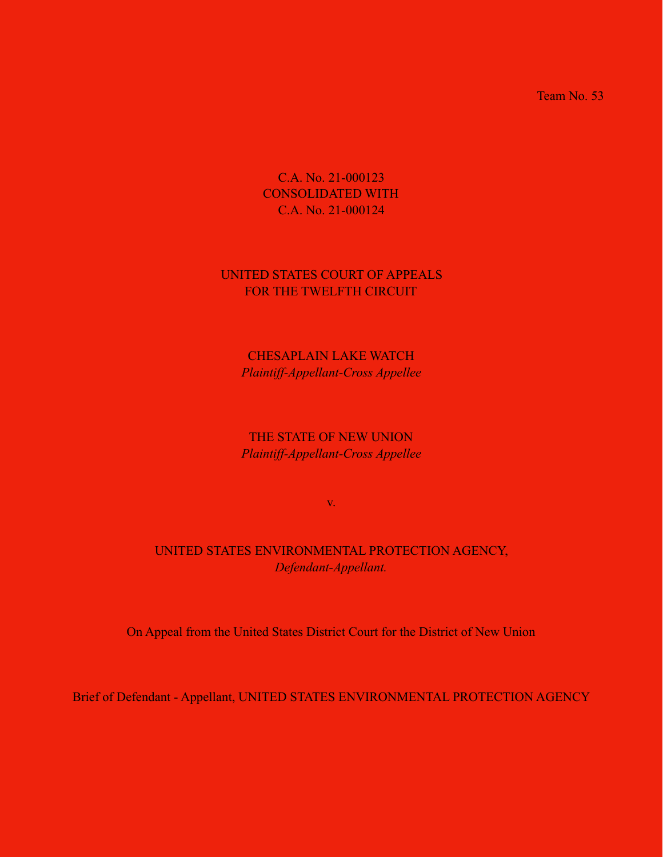Team No. 53

C.A. No. 21-000123 CONSOLIDATED WITH C.A. No. 21-000124

## UNITED STATES COURT OF APPEALS FOR THE TWELFTH CIRCUIT

CHESAPLAIN LAKE WATCH *Plaintiff-Appellant-Cross Appellee*

THE STATE OF NEW UNION *Plaintiff-Appellant-Cross Appellee*

v.

## UNITED STATES ENVIRONMENTAL PROTECTION AGENCY, *Defendant-Appellant.*

On Appeal from the United States District Court for the District of New Union

Brief of Defendant - Appellant, UNITED STATES ENVIRONMENTAL PROTECTION AGENCY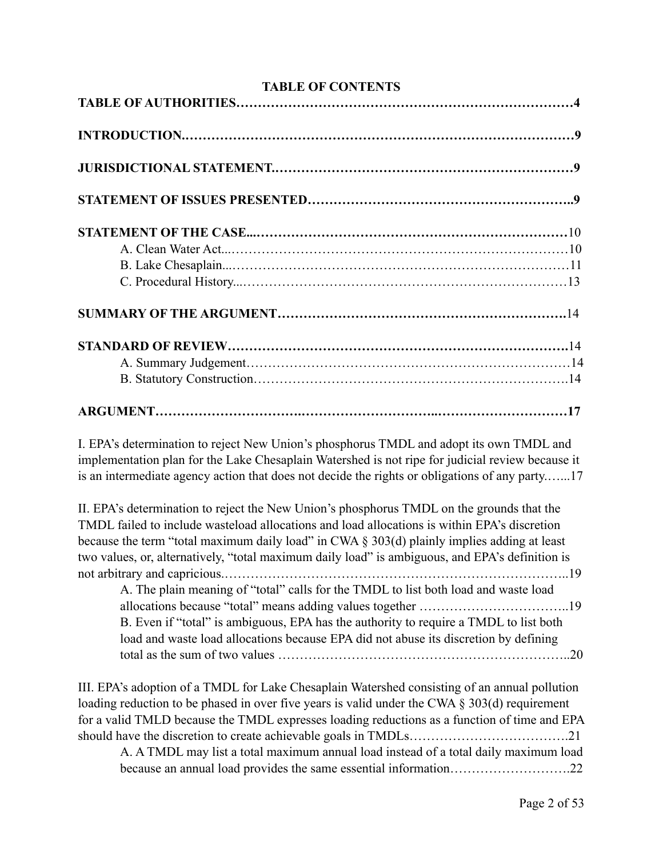**TABLE OF CONTENTS** 

I. EPA's determination to reject New Union's phosphorus TMDL and adopt its own TMDL and implementation plan for the Lake Chesaplain Watershed is not ripe for judicial review because it is an intermediate agency action that does not decide the rights or obligations of any party.…...17

II. EPA's determination to reject the New Union's phosphorus TMDL on the grounds that the TMDL failed to include wasteload allocations and load allocations is within EPA's discretion because the term "total maximum daily load" in CWA § 303(d) plainly implies adding at least two values, or, alternatively, "total maximum daily load" is ambiguous, and EPA's definition is not arbitrary and capricious.……………………………………………………………………..19 A. The plain meaning of "total" calls for the TMDL to list both load and waste load

allocations because "total" means adding values together ……………………………..19 B. Even if "total" is ambiguous, EPA has the authority to require a TMDL to list both load and waste load allocations because EPA did not abuse its discretion by defining total as the sum of two values …………………………………………………………..20

III. EPA's adoption of a TMDL for Lake Chesaplain Watershed consisting of an annual pollution loading reduction to be phased in over five years is valid under the CWA § 303(d) requirement for a valid TMLD because the TMDL expresses loading reductions as a function of time and EPA should have the discretion to create achievable goals in TMDLs……………………………….21

A. A TMDL may list a total maximum annual load instead of a total daily maximum load because an annual load provides the same essential information……………………….22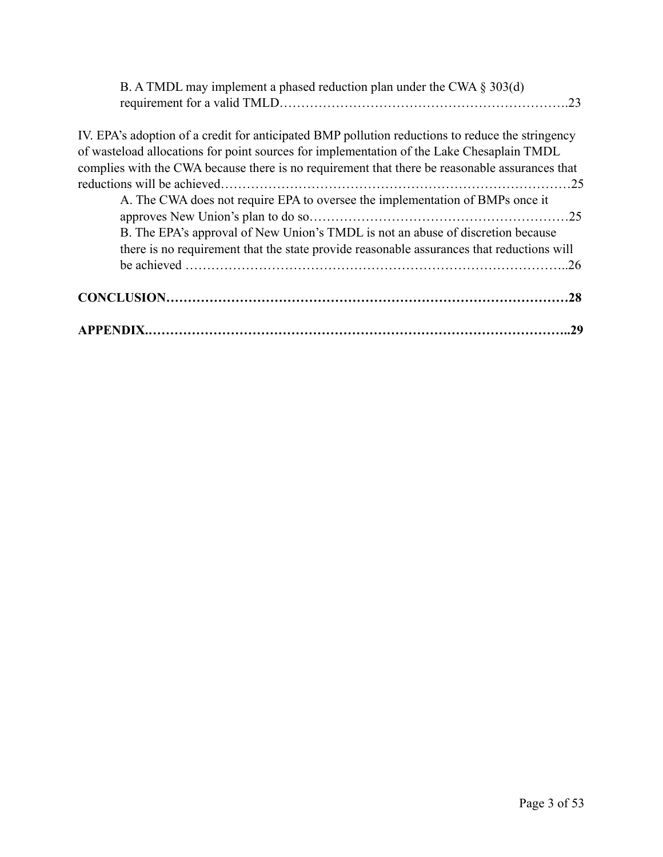| B. A TMDL may implement a phased reduction plan under the CWA $\S 303(d)$                        |  |
|--------------------------------------------------------------------------------------------------|--|
|                                                                                                  |  |
| IV. EPA's adoption of a credit for anticipated BMP pollution reductions to reduce the stringency |  |
| of wasteload allocations for point sources for implementation of the Lake Chesaplain TMDL        |  |
| complies with the CWA because there is no requirement that there be reasonable assurances that   |  |
|                                                                                                  |  |
| A. The CWA does not require EPA to oversee the implementation of BMPs once it                    |  |
| .25                                                                                              |  |
| B. The EPA's approval of New Union's TMDL is not an abuse of discretion because                  |  |
| there is no requirement that the state provide reasonable assurances that reductions will        |  |
| .26                                                                                              |  |
|                                                                                                  |  |
|                                                                                                  |  |
| 29                                                                                               |  |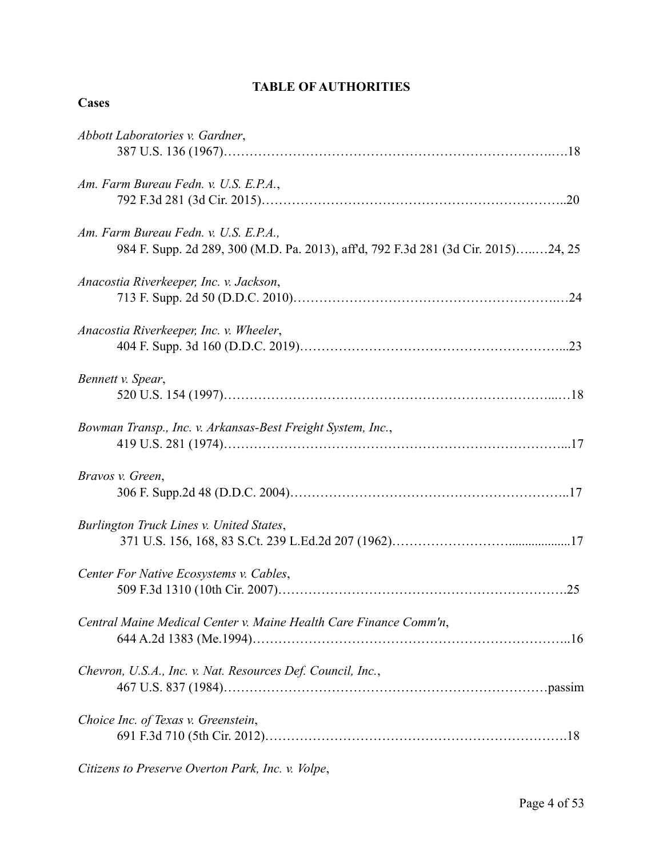# **TABLE OF AUTHORITIES**

## **Cases**

| Abbott Laboratories v. Gardner,                                                                                             |  |
|-----------------------------------------------------------------------------------------------------------------------------|--|
| Am. Farm Bureau Fedn. v. U.S. E.P.A.,                                                                                       |  |
| Am. Farm Bureau Fedn. v. U.S. E.P.A.,<br>984 F. Supp. 2d 289, 300 (M.D. Pa. 2013), aff'd, 792 F.3d 281 (3d Cir. 2015)24, 25 |  |
| Anacostia Riverkeeper, Inc. v. Jackson,                                                                                     |  |
| Anacostia Riverkeeper, Inc. v. Wheeler,                                                                                     |  |
| Bennett v. Spear,                                                                                                           |  |
| Bowman Transp., Inc. v. Arkansas-Best Freight System, Inc.,                                                                 |  |
| Bravos v. Green,                                                                                                            |  |
| Burlington Truck Lines v. United States,                                                                                    |  |
| Center For Native Ecosystems v. Cables,<br>.25                                                                              |  |
| Central Maine Medical Center v. Maine Health Care Finance Comm'n,                                                           |  |
| Chevron, U.S.A., Inc. v. Nat. Resources Def. Council, Inc.,                                                                 |  |
| Choice Inc. of Texas v. Greenstein,                                                                                         |  |
|                                                                                                                             |  |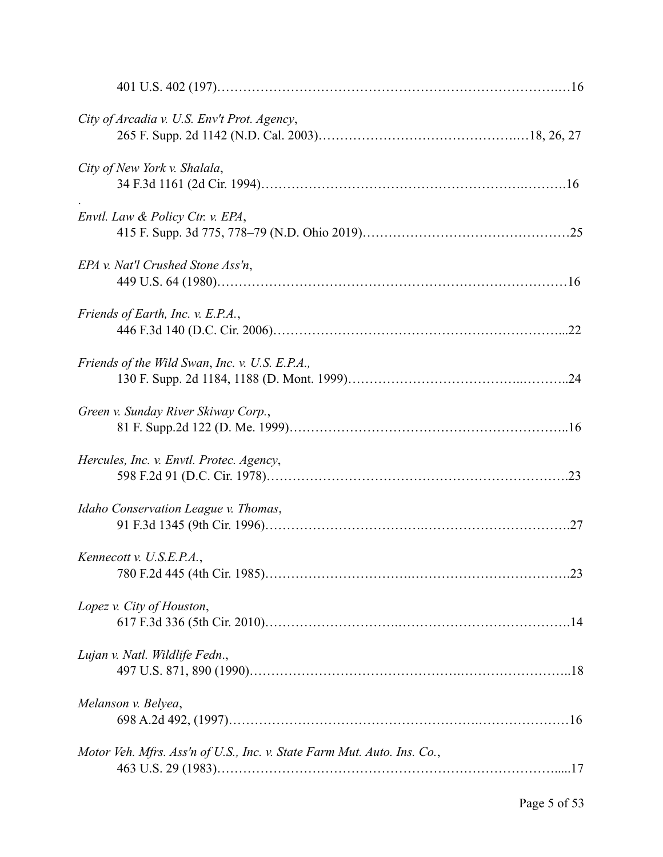| City of Arcadia v. U.S. Env't Prot. Agency,                             |  |
|-------------------------------------------------------------------------|--|
| City of New York v. Shalala,                                            |  |
| Envtl. Law & Policy Ctr. v. EPA,                                        |  |
| EPA v. Nat'l Crushed Stone Ass'n,                                       |  |
| Friends of Earth, Inc. v. E.P.A.,                                       |  |
| Friends of the Wild Swan, Inc. v. U.S. E.P.A.,                          |  |
| Green v. Sunday River Skiway Corp.,                                     |  |
| Hercules, Inc. v. Envtl. Protec. Agency,                                |  |
| Idaho Conservation League v. Thomas,                                    |  |
| Kennecott v. U.S.E.P.A.,                                                |  |
| Lopez v. City of Houston,                                               |  |
| Lujan v. Natl. Wildlife Fedn.,                                          |  |
| Melanson v. Belyea,                                                     |  |
| Motor Veh. Mfrs. Ass'n of U.S., Inc. v. State Farm Mut. Auto. Ins. Co., |  |
|                                                                         |  |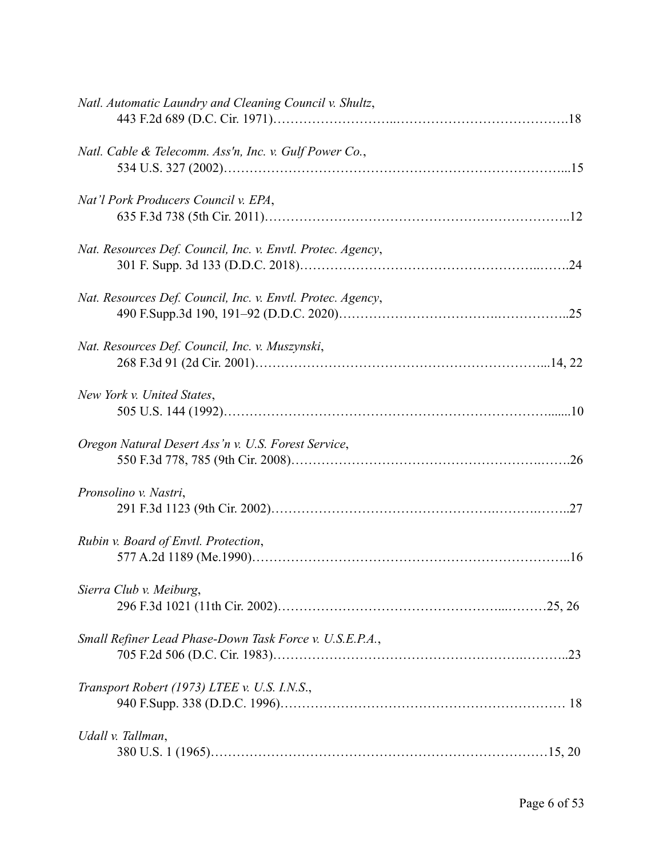| Natl. Automatic Laundry and Cleaning Council v. Shultz,     |
|-------------------------------------------------------------|
| Natl. Cable & Telecomm. Ass'n, Inc. v. Gulf Power Co.,      |
| Nat'l Pork Producers Council v. EPA,                        |
| Nat. Resources Def. Council, Inc. v. Envtl. Protec. Agency, |
| Nat. Resources Def. Council, Inc. v. Envtl. Protec. Agency, |
| Nat. Resources Def. Council, Inc. v. Muszynski,             |
| New York v. United States,                                  |
| Oregon Natural Desert Ass'n v. U.S. Forest Service,         |
| Pronsolino v. Nastri,                                       |
| Rubin v. Board of Envtl. Protection,                        |
| Sierra Club v. Meiburg,                                     |
| Small Refiner Lead Phase-Down Task Force v. U.S.E.P.A.,     |
| Transport Robert (1973) LTEE v. U.S. I.N.S.,                |
| Udall v. Tallman,                                           |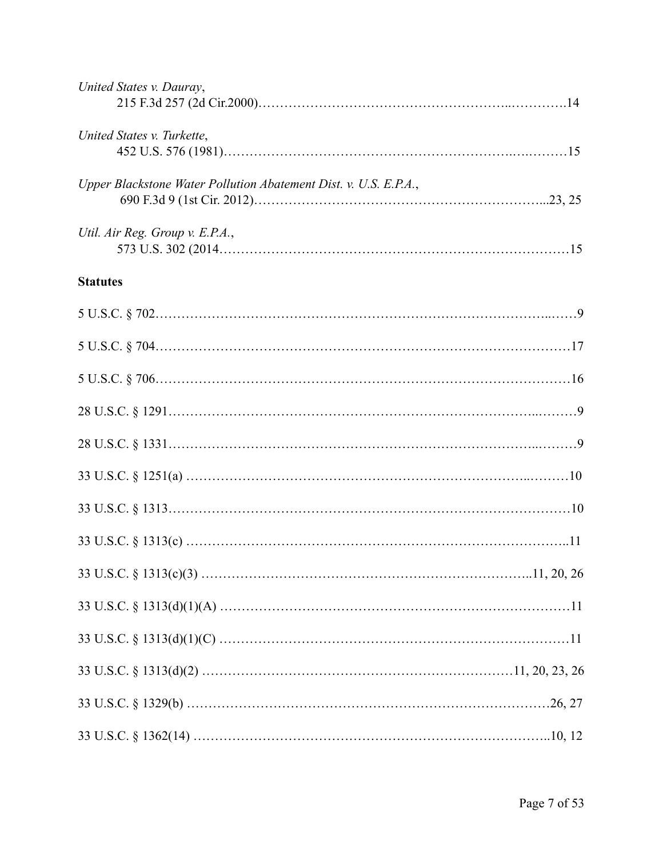| United States v. Dauray,                                         |  |
|------------------------------------------------------------------|--|
| United States v. Turkette,                                       |  |
| Upper Blackstone Water Pollution Abatement Dist. v. U.S. E.P.A., |  |
| Util. Air Reg. Group v. E.P.A.,                                  |  |
| <b>Statutes</b>                                                  |  |
|                                                                  |  |
|                                                                  |  |
|                                                                  |  |
|                                                                  |  |
|                                                                  |  |
|                                                                  |  |
|                                                                  |  |
|                                                                  |  |
|                                                                  |  |
|                                                                  |  |
|                                                                  |  |
|                                                                  |  |
|                                                                  |  |
|                                                                  |  |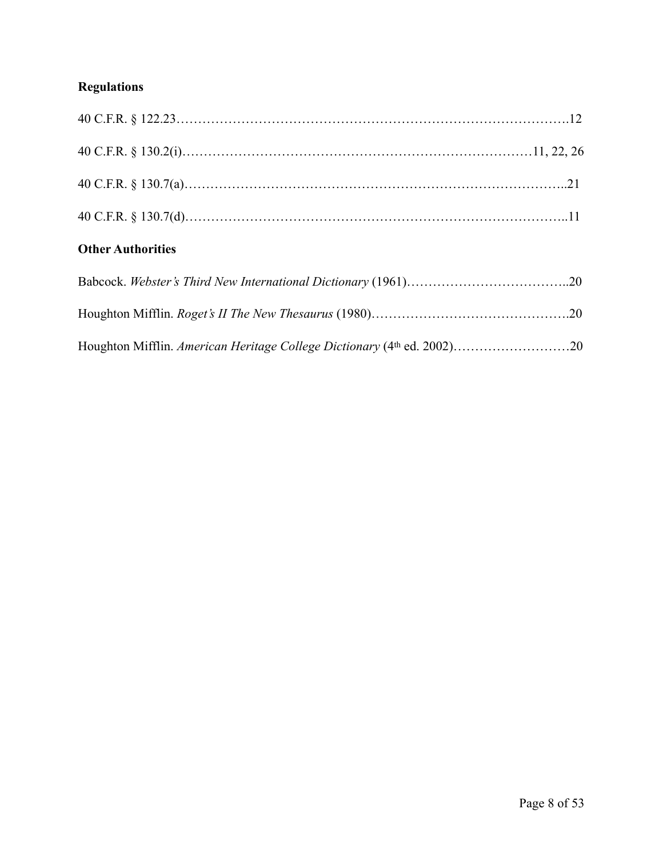# **Regulations**

| <b>Other Authorities</b> |  |
|--------------------------|--|
|                          |  |
|                          |  |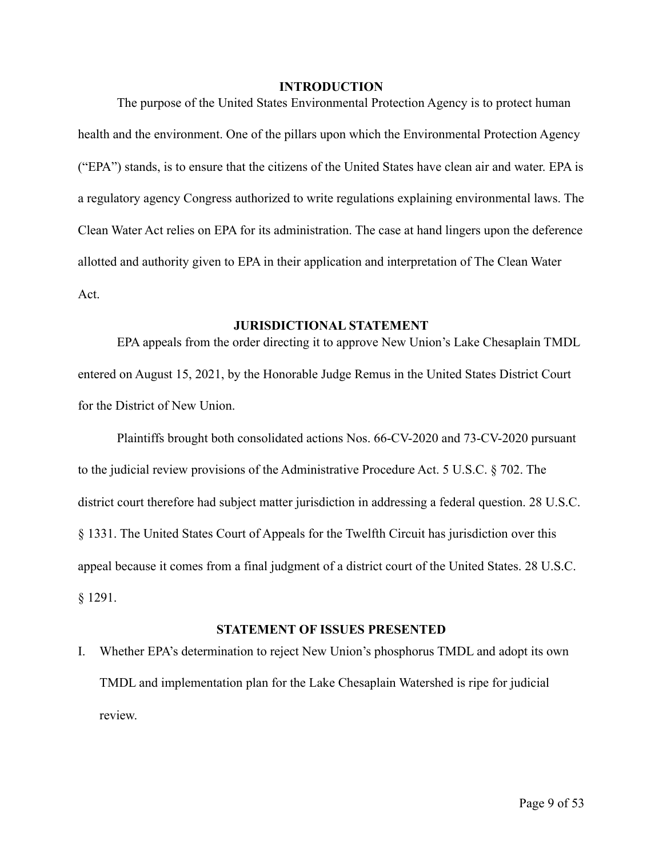#### **INTRODUCTION**

 The purpose of the United States Environmental Protection Agency is to protect human health and the environment. One of the pillars upon which the Environmental Protection Agency ("EPA") stands, is to ensure that the citizens of the United States have clean air and water. EPA is a regulatory agency Congress authorized to write regulations explaining environmental laws. The Clean Water Act relies on EPA for its administration. The case at hand lingers upon the deference allotted and authority given to EPA in their application and interpretation of The Clean Water Act.

### **JURISDICTIONAL STATEMENT**

 EPA appeals from the order directing it to approve New Union's Lake Chesaplain TMDL entered on August 15, 2021, by the Honorable Judge Remus in the United States District Court for the District of New Union.

Plaintiffs brought both consolidated actions Nos. 66-CV-2020 and 73-CV-2020 pursuant to the judicial review provisions of the Administrative Procedure Act. 5 U.S.C. § 702. The district court therefore had subject matter jurisdiction in addressing a federal question. 28 U.S.C. § 1331. The United States Court of Appeals for the Twelfth Circuit has jurisdiction over this appeal because it comes from a final judgment of a district court of the United States. 28 U.S.C. § 1291.

#### **STATEMENT OF ISSUES PRESENTED**

I. Whether EPA's determination to reject New Union's phosphorus TMDL and adopt its own TMDL and implementation plan for the Lake Chesaplain Watershed is ripe for judicial review.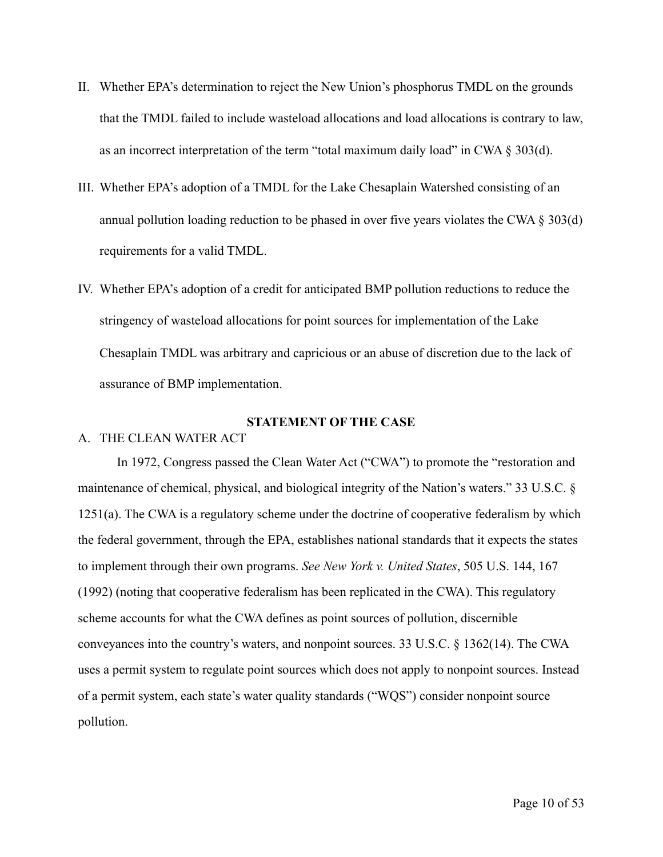- II. Whether EPA's determination to reject the New Union's phosphorus TMDL on the grounds that the TMDL failed to include wasteload allocations and load allocations is contrary to law, as an incorrect interpretation of the term "total maximum daily load" in CWA  $\S 303(d)$ .
- III. Whether EPA's adoption of a TMDL for the Lake Chesaplain Watershed consisting of an annual pollution loading reduction to be phased in over five years violates the CWA § 303(d) requirements for a valid TMDL.
- IV. Whether EPA's adoption of a credit for anticipated BMP pollution reductions to reduce the stringency of wasteload allocations for point sources for implementation of the Lake Chesaplain TMDL was arbitrary and capricious or an abuse of discretion due to the lack of assurance of BMP implementation.

#### **STATEMENT OF THE CASE**

#### A. THE CLEAN WATER ACT

In 1972, Congress passed the Clean Water Act ("CWA") to promote the "restoration and maintenance of chemical, physical, and biological integrity of the Nation's waters." 33 U.S.C. § 1251(a). The CWA is a regulatory scheme under the doctrine of cooperative federalism by which the federal government, through the EPA, establishes national standards that it expects the states to implement through their own programs. *See New York v. United States*, 505 U.S. 144, 167 (1992) (noting that cooperative federalism has been replicated in the CWA). This regulatory scheme accounts for what the CWA defines as point sources of pollution, discernible conveyances into the country's waters, and nonpoint sources. 33 U.S.C. § 1362(14). The CWA uses a permit system to regulate point sources which does not apply to nonpoint sources. Instead of a permit system, each state's water quality standards ("WQS") consider nonpoint source pollution.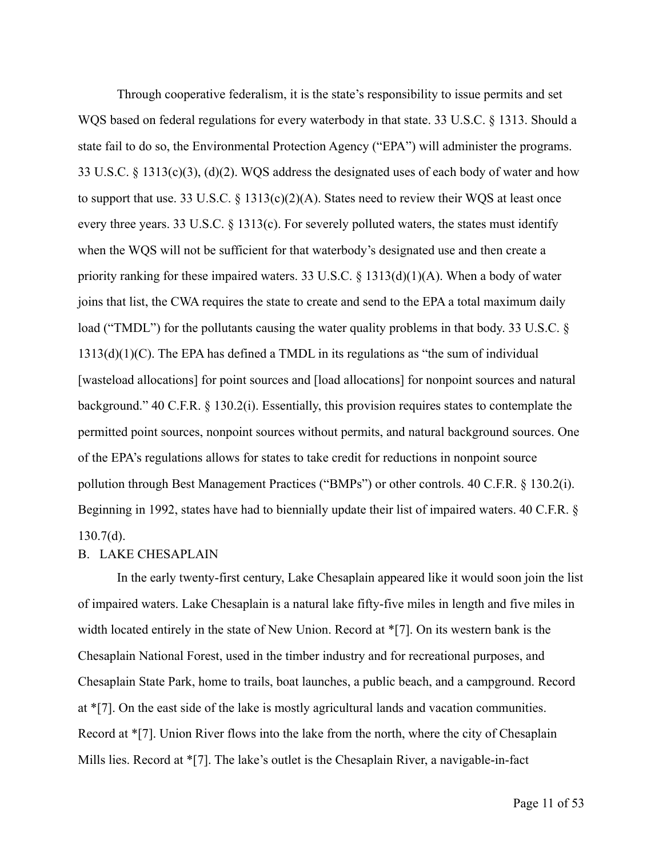Through cooperative federalism, it is the state's responsibility to issue permits and set WQS based on federal regulations for every waterbody in that state. 33 U.S.C. § 1313. Should a state fail to do so, the Environmental Protection Agency ("EPA") will administer the programs. 33 U.S.C. § 1313(c)(3), (d)(2). WQS address the designated uses of each body of water and how to support that use. 33 U.S.C.  $\S$  1313(c)(2)(A). States need to review their WQS at least once every three years. 33 U.S.C. § 1313(c). For severely polluted waters, the states must identify when the WQS will not be sufficient for that waterbody's designated use and then create a priority ranking for these impaired waters. 33 U.S.C.  $\S$  1313(d)(1)(A). When a body of water joins that list, the CWA requires the state to create and send to the EPA a total maximum daily load ("TMDL") for the pollutants causing the water quality problems in that body. 33 U.S.C. § 1313(d)(1)(C). The EPA has defined a TMDL in its regulations as "the sum of individual [wasteload allocations] for point sources and [load allocations] for nonpoint sources and natural background." 40 C.F.R. § 130.2(i). Essentially, this provision requires states to contemplate the permitted point sources, nonpoint sources without permits, and natural background sources. One of the EPA's regulations allows for states to take credit for reductions in nonpoint source pollution through Best Management Practices ("BMPs") or other controls. 40 C.F.R. § 130.2(i). Beginning in 1992, states have had to biennially update their list of impaired waters. 40 C.F.R. §  $130.7(d)$ .

### B. LAKE CHESAPLAIN

In the early twenty-first century, Lake Chesaplain appeared like it would soon join the list of impaired waters. Lake Chesaplain is a natural lake fifty-five miles in length and five miles in width located entirely in the state of New Union. Record at \*[7]. On its western bank is the Chesaplain National Forest, used in the timber industry and for recreational purposes, and Chesaplain State Park, home to trails, boat launches, a public beach, and a campground. Record at \*[7]. On the east side of the lake is mostly agricultural lands and vacation communities. Record at \*[7]. Union River flows into the lake from the north, where the city of Chesaplain Mills lies. Record at \*[7]. The lake's outlet is the Chesaplain River, a navigable-in-fact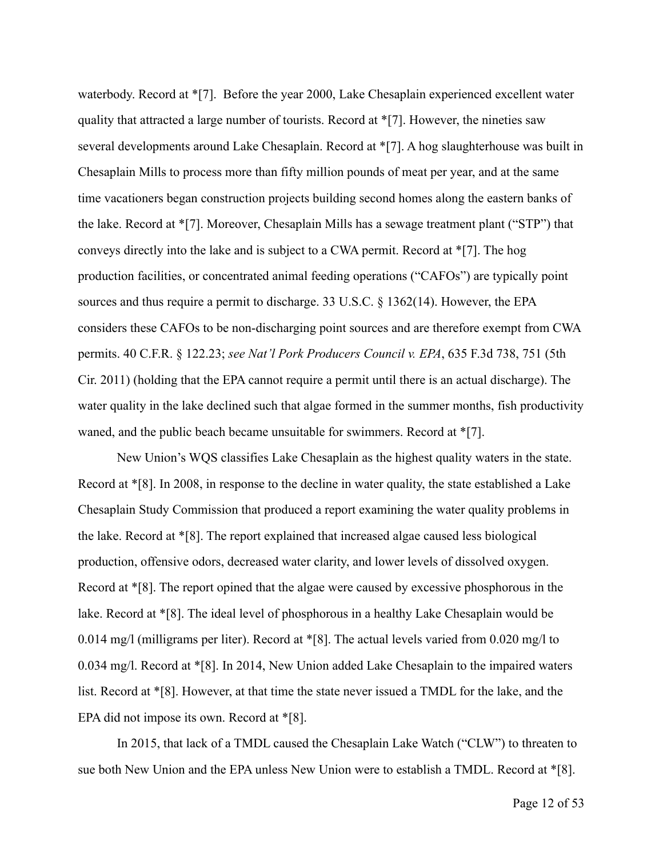waterbody. Record at \*[7]. Before the year 2000, Lake Chesaplain experienced excellent water quality that attracted a large number of tourists. Record at \*[7]. However, the nineties saw several developments around Lake Chesaplain. Record at \*[7]. A hog slaughterhouse was built in Chesaplain Mills to process more than fifty million pounds of meat per year, and at the same time vacationers began construction projects building second homes along the eastern banks of the lake. Record at \*[7]. Moreover, Chesaplain Mills has a sewage treatment plant ("STP") that conveys directly into the lake and is subject to a CWA permit. Record at \*[7]. The hog production facilities, or concentrated animal feeding operations ("CAFOs") are typically point sources and thus require a permit to discharge. 33 U.S.C. § 1362(14). However, the EPA considers these CAFOs to be non-discharging point sources and are therefore exempt from CWA permits. 40 C.F.R. § 122.23; *see Nat'l Pork Producers Council v. EPA*, 635 F.3d 738, 751 (5th Cir. 2011) (holding that the EPA cannot require a permit until there is an actual discharge). The water quality in the lake declined such that algae formed in the summer months, fish productivity waned, and the public beach became unsuitable for swimmers. Record at  $\sqrt[*]{7}$ .

New Union's WQS classifies Lake Chesaplain as the highest quality waters in the state. Record at \*[8]. In 2008, in response to the decline in water quality, the state established a Lake Chesaplain Study Commission that produced a report examining the water quality problems in the lake. Record at \*[8]. The report explained that increased algae caused less biological production, offensive odors, decreased water clarity, and lower levels of dissolved oxygen. Record at \*[8]. The report opined that the algae were caused by excessive phosphorous in the lake. Record at \*[8]. The ideal level of phosphorous in a healthy Lake Chesaplain would be 0.014 mg/l (milligrams per liter). Record at \*[8]. The actual levels varied from 0.020 mg/l to 0.034 mg/l. Record at \*[8]. In 2014, New Union added Lake Chesaplain to the impaired waters list. Record at \*[8]. However, at that time the state never issued a TMDL for the lake, and the EPA did not impose its own. Record at \*[8].

In 2015, that lack of a TMDL caused the Chesaplain Lake Watch ("CLW") to threaten to sue both New Union and the EPA unless New Union were to establish a TMDL. Record at \*[8].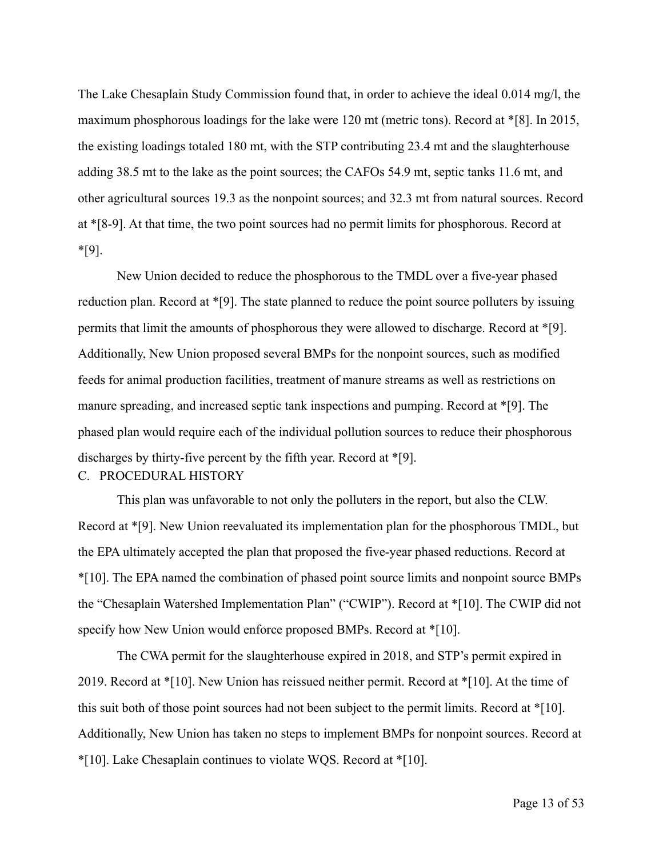The Lake Chesaplain Study Commission found that, in order to achieve the ideal 0.014 mg/l, the maximum phosphorous loadings for the lake were 120 mt (metric tons). Record at \*[8]. In 2015, the existing loadings totaled 180 mt, with the STP contributing 23.4 mt and the slaughterhouse adding 38.5 mt to the lake as the point sources; the CAFOs 54.9 mt, septic tanks 11.6 mt, and other agricultural sources 19.3 as the nonpoint sources; and 32.3 mt from natural sources. Record at \*[8-9]. At that time, the two point sources had no permit limits for phosphorous. Record at \*[9].

New Union decided to reduce the phosphorous to the TMDL over a five-year phased reduction plan. Record at \*[9]. The state planned to reduce the point source polluters by issuing permits that limit the amounts of phosphorous they were allowed to discharge. Record at \*[9]. Additionally, New Union proposed several BMPs for the nonpoint sources, such as modified feeds for animal production facilities, treatment of manure streams as well as restrictions on manure spreading, and increased septic tank inspections and pumping. Record at \*[9]. The phased plan would require each of the individual pollution sources to reduce their phosphorous discharges by thirty-five percent by the fifth year. Record at \*[9]. C. PROCEDURAL HISTORY

This plan was unfavorable to not only the polluters in the report, but also the CLW. Record at \*[9]. New Union reevaluated its implementation plan for the phosphorous TMDL, but the EPA ultimately accepted the plan that proposed the five-year phased reductions. Record at \*[10]. The EPA named the combination of phased point source limits and nonpoint source BMPs the "Chesaplain Watershed Implementation Plan" ("CWIP"). Record at \*[10]. The CWIP did not specify how New Union would enforce proposed BMPs. Record at \*[10].

The CWA permit for the slaughterhouse expired in 2018, and STP's permit expired in 2019. Record at \*[10]. New Union has reissued neither permit. Record at \*[10]. At the time of this suit both of those point sources had not been subject to the permit limits. Record at \*[10]. Additionally, New Union has taken no steps to implement BMPs for nonpoint sources. Record at \*[10]. Lake Chesaplain continues to violate WQS. Record at \*[10].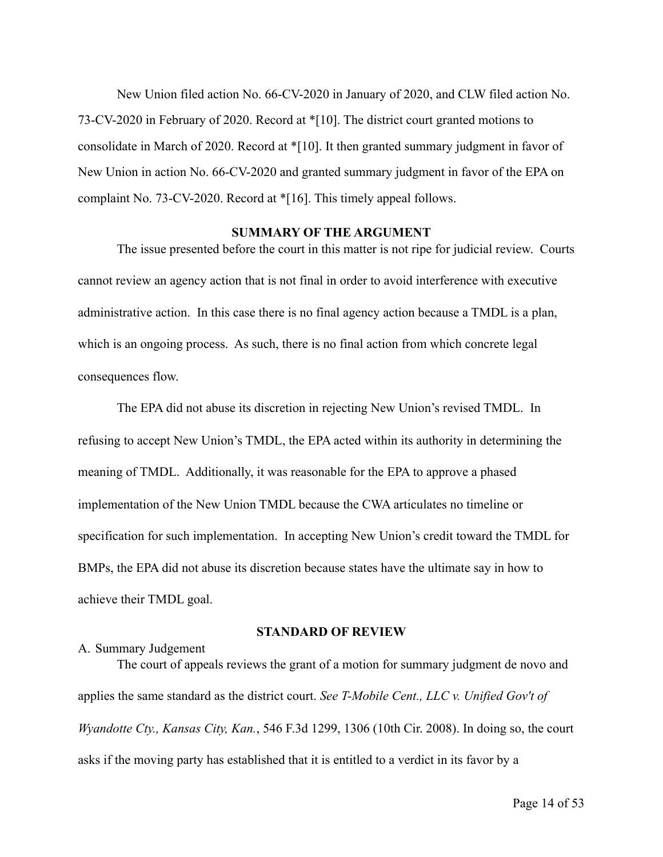New Union filed action No. 66-CV-2020 in January of 2020, and CLW filed action No. 73-CV-2020 in February of 2020. Record at \*[10]. The district court granted motions to consolidate in March of 2020. Record at \*[10]. It then granted summary judgment in favor of New Union in action No. 66-CV-2020 and granted summary judgment in favor of the EPA on complaint No. 73-CV-2020. Record at \*[16]. This timely appeal follows.

#### **SUMMARY OF THE ARGUMENT**

 The issue presented before the court in this matter is not ripe for judicial review. Courts cannot review an agency action that is not final in order to avoid interference with executive administrative action. In this case there is no final agency action because a TMDL is a plan, which is an ongoing process. As such, there is no final action from which concrete legal consequences flow.

 The EPA did not abuse its discretion in rejecting New Union's revised TMDL. In refusing to accept New Union's TMDL, the EPA acted within its authority in determining the meaning of TMDL. Additionally, it was reasonable for the EPA to approve a phased implementation of the New Union TMDL because the CWA articulates no timeline or specification for such implementation. In accepting New Union's credit toward the TMDL for BMPs, the EPA did not abuse its discretion because states have the ultimate say in how to achieve their TMDL goal.

#### **STANDARD OF REVIEW**

#### A. Summary Judgement

 The court of appeals reviews the grant of a motion for summary judgment de novo and applies the same standard as the district court. *See T-Mobile Cent., LLC v. Unified Gov't of Wyandotte Cty., Kansas City, Kan.*, 546 F.3d 1299, 1306 (10th Cir. 2008). In doing so, the court asks if the moving party has established that it is entitled to a verdict in its favor by a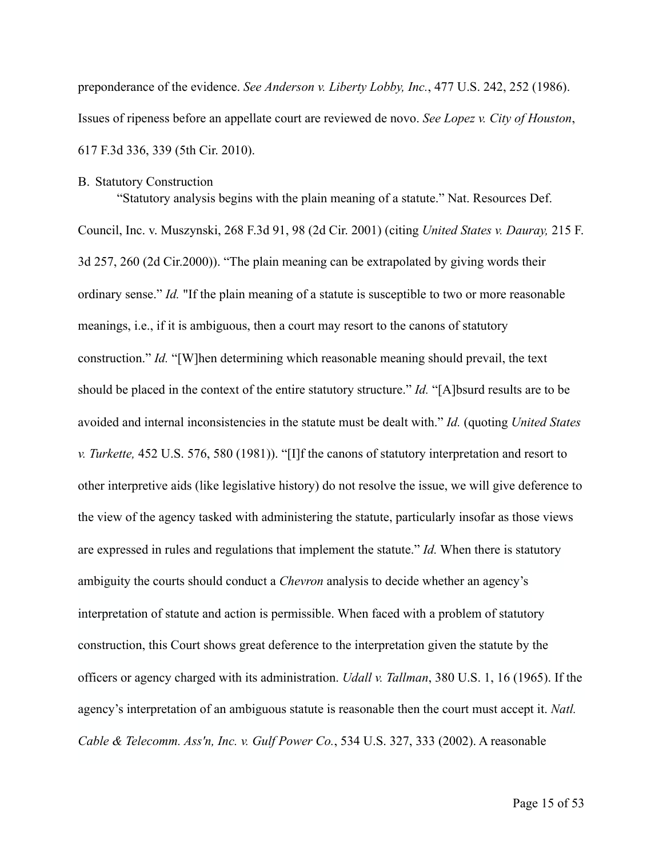preponderance of the evidence. *See Anderson v. Liberty Lobby, Inc.*, 477 U.S. 242, 252 (1986). Issues of ripeness before an appellate court are reviewed de novo. *See Lopez v. City of Houston*, 617 F.3d 336, 339 (5th Cir. 2010).

#### B. Statutory Construction

"Statutory analysis begins with the plain meaning of a statute." Nat. Resources Def.

Council, Inc. v. Muszynski, 268 F.3d 91, 98 (2d Cir. 2001) (citing *United States v. Dauray,* 215 F. 3d 257, 260 (2d Cir.2000)). "The plain meaning can be extrapolated by giving words their ordinary sense." *Id.* "If the plain meaning of a statute is susceptible to two or more reasonable meanings, i.e., if it is ambiguous, then a court may resort to the canons of statutory construction." *Id.* "[W]hen determining which reasonable meaning should prevail, the text should be placed in the context of the entire statutory structure." *Id.* "[A]bsurd results are to be avoided and internal inconsistencies in the statute must be dealt with." *Id.* (quoting *United States v. Turkette,* 452 U.S. 576, 580 (1981)). "[I]f the canons of statutory interpretation and resort to other interpretive aids (like legislative history) do not resolve the issue, we will give deference to the view of the agency tasked with administering the statute, particularly insofar as those views are expressed in rules and regulations that implement the statute." *Id.* When there is statutory ambiguity the courts should conduct a *Chevron* analysis to decide whether an agency's interpretation of statute and action is permissible. When faced with a problem of statutory construction, this Court shows great deference to the interpretation given the statute by the officers or agency charged with its administration. *Udall v. Tallman*, 380 U.S. 1, 16 (1965). If the agency's interpretation of an ambiguous statute is reasonable then the court must accept it. *Natl. Cable & Telecomm. Ass'n, Inc. v. Gulf Power Co.*, 534 U.S. 327, 333 (2002). A reasonable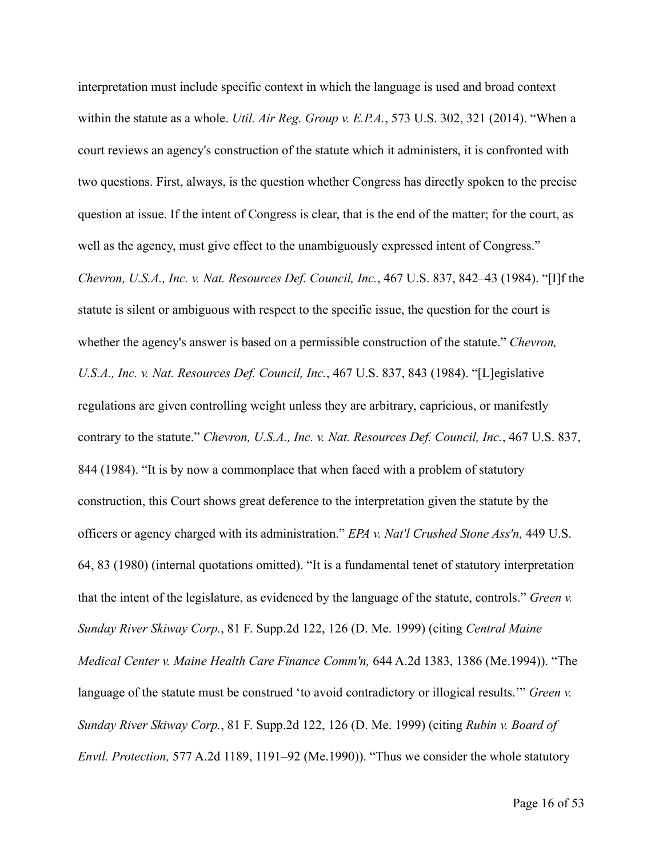interpretation must include specific context in which the language is used and broad context within the statute as a whole. *Util. Air Reg. Group v. E.P.A.*, 573 U.S. 302, 321 (2014). "When a court reviews an agency's construction of the statute which it administers, it is confronted with two questions. First, always, is the question whether Congress has directly spoken to the precise question at issue. If the intent of Congress is clear, that is the end of the matter; for the court, as well as the agency, must give effect to the unambiguously expressed intent of Congress." *Chevron, U.S.A., Inc. v. Nat. Resources Def. Council, Inc.*, 467 U.S. 837, 842–43 (1984). "[I]f the statute is silent or ambiguous with respect to the specific issue, the question for the court is whether the agency's answer is based on a permissible construction of the statute." *Chevron, U.S.A., Inc. v. Nat. Resources Def. Council, Inc.*, 467 U.S. 837, 843 (1984). "[L]egislative regulations are given controlling weight unless they are arbitrary, capricious, or manifestly contrary to the statute." *Chevron, U.S.A., Inc. v. Nat. Resources Def. Council, Inc.*, 467 U.S. 837, 844 (1984). "It is by now a commonplace that when faced with a problem of statutory construction, this Court shows great deference to the interpretation given the statute by the officers or agency charged with its administration." *EPA v. Nat'l Crushed Stone Ass'n,* 449 U.S. 64, 83 (1980) (internal quotations omitted). "It is a fundamental tenet of statutory interpretation that the intent of the legislature, as evidenced by the language of the statute, controls." *Green v. Sunday River Skiway Corp.*, 81 F. Supp.2d 122, 126 (D. Me. 1999) (citing *Central Maine Medical Center v. Maine Health Care Finance Comm'n,* 644 A.2d 1383, 1386 (Me.1994)). "The language of the statute must be construed 'to avoid contradictory or illogical results.'" *Green v. Sunday River Skiway Corp.*, 81 F. Supp.2d 122, 126 (D. Me. 1999) (citing *Rubin v. Board of Envtl. Protection,* 577 A.2d 1189, 1191–92 (Me.1990)). "Thus we consider the whole statutory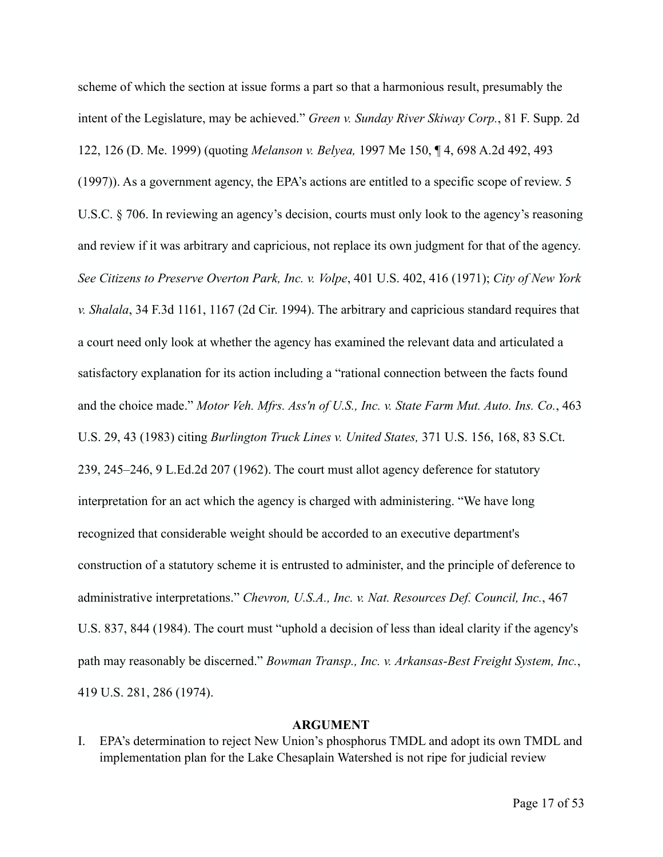scheme of which the section at issue forms a part so that a harmonious result, presumably the intent of the Legislature, may be achieved." *Green v. Sunday River Skiway Corp.*, 81 F. Supp. 2d 122, 126 (D. Me. 1999) (quoting *Melanson v. Belyea,* 1997 Me 150, ¶ 4, 698 A.2d 492, 493 (1997)). As a government agency, the EPA's actions are entitled to a specific scope of review. 5 U.S.C. § 706. In reviewing an agency's decision, courts must only look to the agency's reasoning and review if it was arbitrary and capricious, not replace its own judgment for that of the agency. *See Citizens to Preserve Overton Park, Inc. v. Volpe*, 401 U.S. 402, 416 (1971); *City of New York v. Shalala*, 34 F.3d 1161, 1167 (2d Cir. 1994). The arbitrary and capricious standard requires that a court need only look at whether the agency has examined the relevant data and articulated a satisfactory explanation for its action including a "rational connection between the facts found and the choice made." *Motor Veh. Mfrs. Ass'n of U.S., Inc. v. State Farm Mut. Auto. Ins. Co.*, 463 U.S. 29, 43 (1983) citing *Burlington Truck Lines v. United States,* 371 U.S. 156, 168, 83 S.Ct. 239, 245–246, 9 L.Ed.2d 207 (1962). The court must allot agency deference for statutory

interpretation for an act which the agency is charged with administering. "We have long recognized that considerable weight should be accorded to an executive department's construction of a statutory scheme it is entrusted to administer, and the principle of deference to administrative interpretations." *Chevron, U.S.A., Inc. v. Nat. Resources Def. Council, Inc.*, 467 U.S. 837, 844 (1984). The court must "uphold a decision of less than ideal clarity if the agency's path may reasonably be discerned." *Bowman Transp., Inc. v. Arkansas-Best Freight System, Inc.*, 419 U.S. 281, 286 (1974).

#### **ARGUMENT**

I. EPA's determination to reject New Union's phosphorus TMDL and adopt its own TMDL and implementation plan for the Lake Chesaplain Watershed is not ripe for judicial review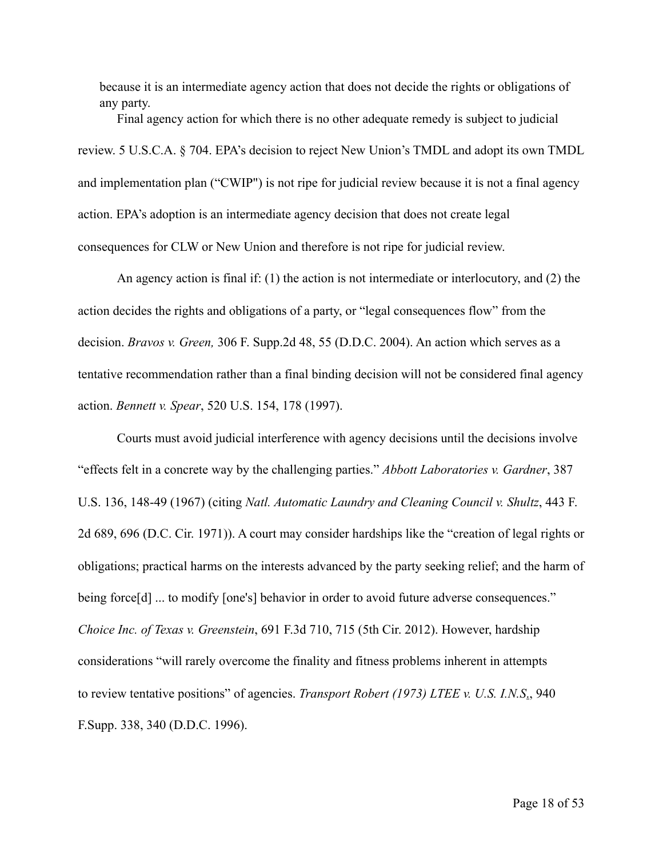because it is an intermediate agency action that does not decide the rights or obligations of any party.

 Final agency action for which there is no other adequate remedy is subject to judicial review. 5 U.S.C.A. § 704. EPA's decision to reject New Union's TMDL and adopt its own TMDL and implementation plan ("CWIP") is not ripe for judicial review because it is not a final agency action. EPA's adoption is an intermediate agency decision that does not create legal consequences for CLW or New Union and therefore is not ripe for judicial review.

 An agency action is final if: (1) the action is not intermediate or interlocutory, and (2) the action decides the rights and obligations of a party, or "legal consequences flow" from the decision. *Bravos v. Green,* 306 F. Supp.2d 48, 55 (D.D.C. 2004). An action which serves as a tentative recommendation rather than a final binding decision will not be considered final agency action. *Bennett v. Spear*, 520 U.S. 154, 178 (1997).

 Courts must avoid judicial interference with agency decisions until the decisions involve "effects felt in a concrete way by the challenging parties." *Abbott Laboratories v. Gardner*, 387 U.S. 136, 148-49 (1967) (citing *Natl. Automatic Laundry and Cleaning Council v. Shultz*, 443 F. 2d 689, 696 (D.C. Cir. 1971)). A court may consider hardships like the "creation of legal rights or obligations; practical harms on the interests advanced by the party seeking relief; and the harm of being force[d] ... to modify [one's] behavior in order to avoid future adverse consequences." *Choice Inc. of Texas v. Greenstein*, 691 F.3d 710, 715 (5th Cir. 2012). However, hardship considerations "will rarely overcome the finality and fitness problems inherent in attempts to review tentative positions" of agencies. *Transport Robert (1973) LTEE v. U.S. I.N.S*., 940 F.Supp. 338, 340 (D.D.C. 1996).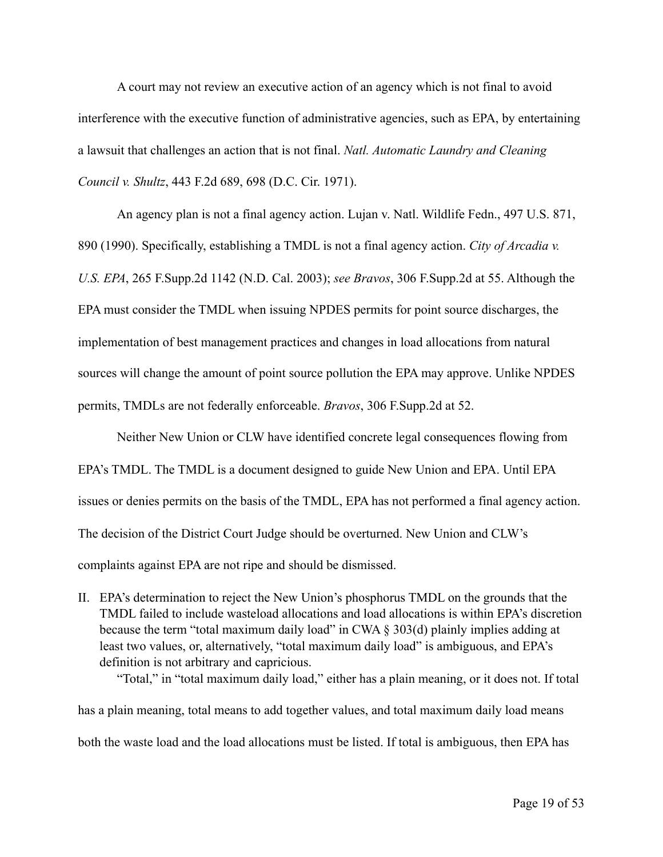A court may not review an executive action of an agency which is not final to avoid interference with the executive function of administrative agencies, such as EPA, by entertaining a lawsuit that challenges an action that is not final. *Natl. Automatic Laundry and Cleaning Council v. Shultz*, 443 F.2d 689, 698 (D.C. Cir. 1971).

 An agency plan is not a final agency action. Lujan v. Natl. Wildlife Fedn., 497 U.S. 871, 890 (1990). Specifically, establishing a TMDL is not a final agency action. *City of Arcadia v. U.S. EPA*, 265 F.Supp.2d 1142 (N.D. Cal. 2003); *see Bravos*, 306 F.Supp.2d at 55. Although the EPA must consider the TMDL when issuing NPDES permits for point source discharges, the implementation of best management practices and changes in load allocations from natural sources will change the amount of point source pollution the EPA may approve. Unlike NPDES permits, TMDLs are not federally enforceable. *Bravos*, 306 F.Supp.2d at 52.

Neither New Union or CLW have identified concrete legal consequences flowing from EPA's TMDL. The TMDL is a document designed to guide New Union and EPA. Until EPA issues or denies permits on the basis of the TMDL, EPA has not performed a final agency action. The decision of the District Court Judge should be overturned. New Union and CLW's complaints against EPA are not ripe and should be dismissed.

II. EPA's determination to reject the New Union's phosphorus TMDL on the grounds that the TMDL failed to include wasteload allocations and load allocations is within EPA's discretion because the term "total maximum daily load" in CWA § 303(d) plainly implies adding at least two values, or, alternatively, "total maximum daily load" is ambiguous, and EPA's definition is not arbitrary and capricious.

 "Total," in "total maximum daily load," either has a plain meaning, or it does not. If total has a plain meaning, total means to add together values, and total maximum daily load means both the waste load and the load allocations must be listed. If total is ambiguous, then EPA has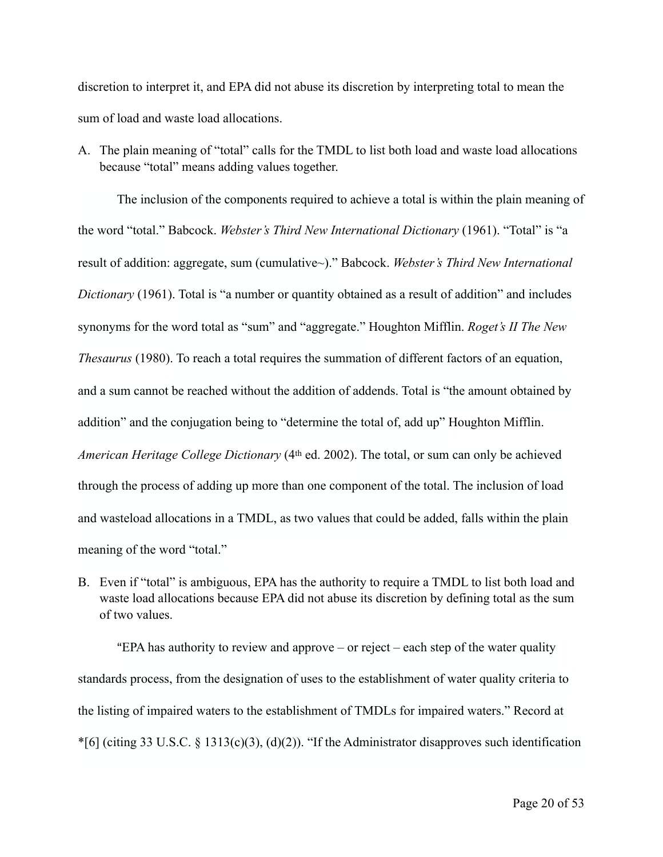discretion to interpret it, and EPA did not abuse its discretion by interpreting total to mean the sum of load and waste load allocations.

A. The plain meaning of "total" calls for the TMDL to list both load and waste load allocations because "total" means adding values together.

 The inclusion of the components required to achieve a total is within the plain meaning of the word "total." Babcock. *Webster's Third New International Dictionary* (1961). "Total" is "a result of addition: aggregate, sum (cumulative~)." Babcock. *Webster's Third New International Dictionary* (1961). Total is "a number or quantity obtained as a result of addition" and includes synonyms for the word total as "sum" and "aggregate." Houghton Mifflin. *Roget's II The New Thesaurus* (1980). To reach a total requires the summation of different factors of an equation, and a sum cannot be reached without the addition of addends. Total is "the amount obtained by addition" and the conjugation being to "determine the total of, add up" Houghton Mifflin. *American Heritage College Dictionary* (4th ed. 2002). The total, or sum can only be achieved through the process of adding up more than one component of the total. The inclusion of load and wasteload allocations in a TMDL, as two values that could be added, falls within the plain meaning of the word "total."

B. Even if "total" is ambiguous, EPA has the authority to require a TMDL to list both load and waste load allocations because EPA did not abuse its discretion by defining total as the sum of two values.

"EPA has authority to review and approve – or reject – each step of the water quality standards process, from the designation of uses to the establishment of water quality criteria to the listing of impaired waters to the establishment of TMDLs for impaired waters." Record at  $*$ [6] (citing 33 U.S.C. § 1313(c)(3), (d)(2)). "If the Administrator disapproves such identification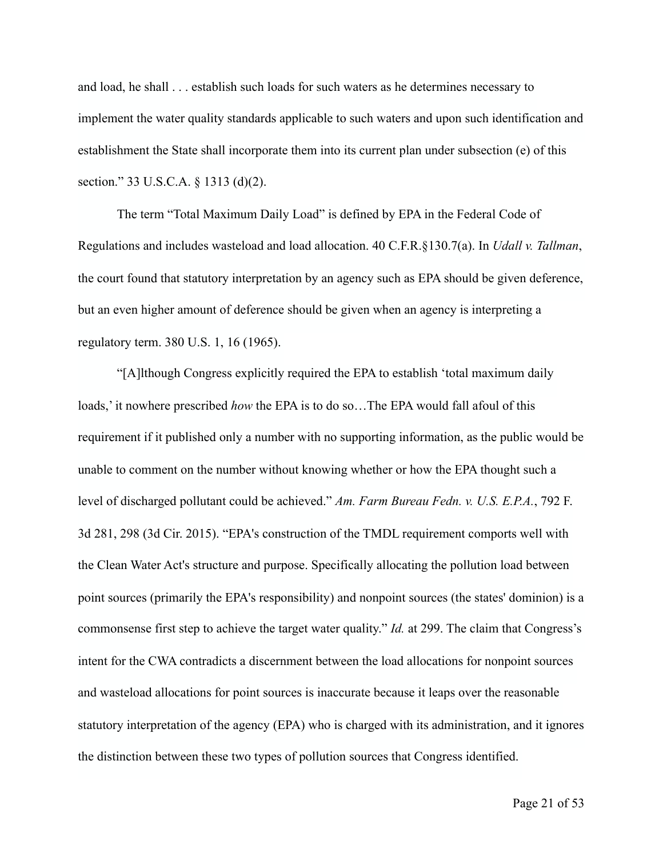and load, he shall . . . establish such loads for such waters as he determines necessary to implement the water quality standards applicable to such waters and upon such identification and establishment the State shall incorporate them into its current plan under subsection (e) of this section." 33 U.S.C.A. § 1313 (d)(2).

 The term "Total Maximum Daily Load" is defined by EPA in the Federal Code of Regulations and includes wasteload and load allocation. 40 C.F.R.§130.7(a). In *Udall v. Tallman*, the court found that statutory interpretation by an agency such as EPA should be given deference, but an even higher amount of deference should be given when an agency is interpreting a regulatory term. 380 U.S. 1, 16 (1965).

 "[A]lthough Congress explicitly required the EPA to establish 'total maximum daily loads,' it nowhere prescribed *how* the EPA is to do so…The EPA would fall afoul of this requirement if it published only a number with no supporting information, as the public would be unable to comment on the number without knowing whether or how the EPA thought such a level of discharged pollutant could be achieved." *Am. Farm Bureau Fedn. v. U.S. E.P.A.*, 792 F. 3d 281, 298 (3d Cir. 2015). "EPA's construction of the TMDL requirement comports well with the Clean Water Act's structure and purpose. Specifically allocating the pollution load between point sources (primarily the EPA's responsibility) and nonpoint sources (the states' dominion) is a commonsense first step to achieve the target water quality." *Id.* at 299. The claim that Congress's intent for the CWA contradicts a discernment between the load allocations for nonpoint sources and wasteload allocations for point sources is inaccurate because it leaps over the reasonable statutory interpretation of the agency (EPA) who is charged with its administration, and it ignores the distinction between these two types of pollution sources that Congress identified.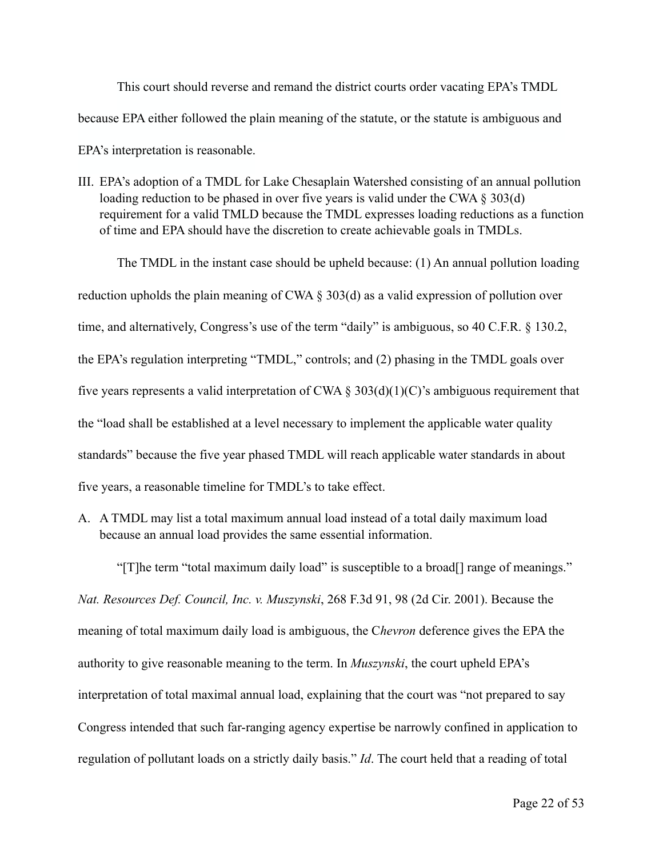This court should reverse and remand the district courts order vacating EPA's TMDL because EPA either followed the plain meaning of the statute, or the statute is ambiguous and EPA's interpretation is reasonable.

III. EPA's adoption of a TMDL for Lake Chesaplain Watershed consisting of an annual pollution loading reduction to be phased in over five years is valid under the CWA  $\S 303(d)$ requirement for a valid TMLD because the TMDL expresses loading reductions as a function of time and EPA should have the discretion to create achievable goals in TMDLs.

 The TMDL in the instant case should be upheld because: (1) An annual pollution loading reduction upholds the plain meaning of CWA § 303(d) as a valid expression of pollution over time, and alternatively, Congress's use of the term "daily" is ambiguous, so 40 C.F.R. § 130.2, the EPA's regulation interpreting "TMDL," controls; and (2) phasing in the TMDL goals over five years represents a valid interpretation of CWA  $\S 303(d)(1)(C)$ 's ambiguous requirement that the "load shall be established at a level necessary to implement the applicable water quality standards" because the five year phased TMDL will reach applicable water standards in about five years, a reasonable timeline for TMDL's to take effect.

A. A TMDL may list a total maximum annual load instead of a total daily maximum load because an annual load provides the same essential information.

 "[T]he term "total maximum daily load" is susceptible to a broad[] range of meanings." *Nat. Resources Def. Council, Inc. v. Muszynski*, 268 F.3d 91, 98 (2d Cir. 2001). Because the meaning of total maximum daily load is ambiguous, the C*hevron* deference gives the EPA the authority to give reasonable meaning to the term. In *Muszynski*, the court upheld EPA's interpretation of total maximal annual load, explaining that the court was "not prepared to say Congress intended that such far-ranging agency expertise be narrowly confined in application to regulation of pollutant loads on a strictly daily basis." *Id*. The court held that a reading of total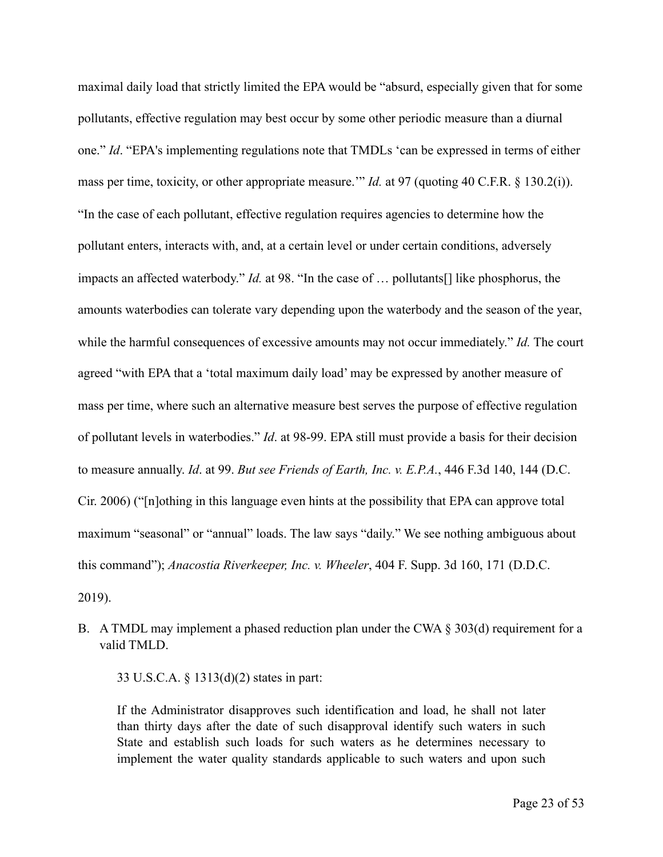maximal daily load that strictly limited the EPA would be "absurd, especially given that for some pollutants, effective regulation may best occur by some other periodic measure than a diurnal one." *Id*. "EPA's implementing regulations note that TMDLs 'can be expressed in terms of either mass per time, toxicity, or other appropriate measure.'" *Id.* at 97 (quoting 40 C.F.R. § 130.2(i)). "In the case of each pollutant, effective regulation requires agencies to determine how the pollutant enters, interacts with, and, at a certain level or under certain conditions, adversely impacts an affected waterbody." *Id.* at 98. "In the case of … pollutants[] like phosphorus, the amounts waterbodies can tolerate vary depending upon the waterbody and the season of the year, while the harmful consequences of excessive amounts may not occur immediately." *Id.* The court agreed "with EPA that a 'total maximum daily load' may be expressed by another measure of mass per time, where such an alternative measure best serves the purpose of effective regulation of pollutant levels in waterbodies." *Id*. at 98-99. EPA still must provide a basis for their decision to measure annually. *Id*. at 99. *But see Friends of Earth, Inc. v. E.P.A.*, 446 F.3d 140, 144 (D.C. Cir. 2006) ("[n]othing in this language even hints at the possibility that EPA can approve total maximum "seasonal" or "annual" loads. The law says "daily." We see nothing ambiguous about this command"); *Anacostia Riverkeeper, Inc. v. Wheeler*, 404 F. Supp. 3d 160, 171 (D.D.C.

2019).

B. A TMDL may implement a phased reduction plan under the CWA § 303(d) requirement for a valid TMLD.

33 U.S.C.A. § 1313(d)(2) states in part:

If the Administrator disapproves such identification and load, he shall not later than thirty days after the date of such disapproval identify such waters in such State and establish such loads for such waters as he determines necessary to implement the water quality standards applicable to such waters and upon such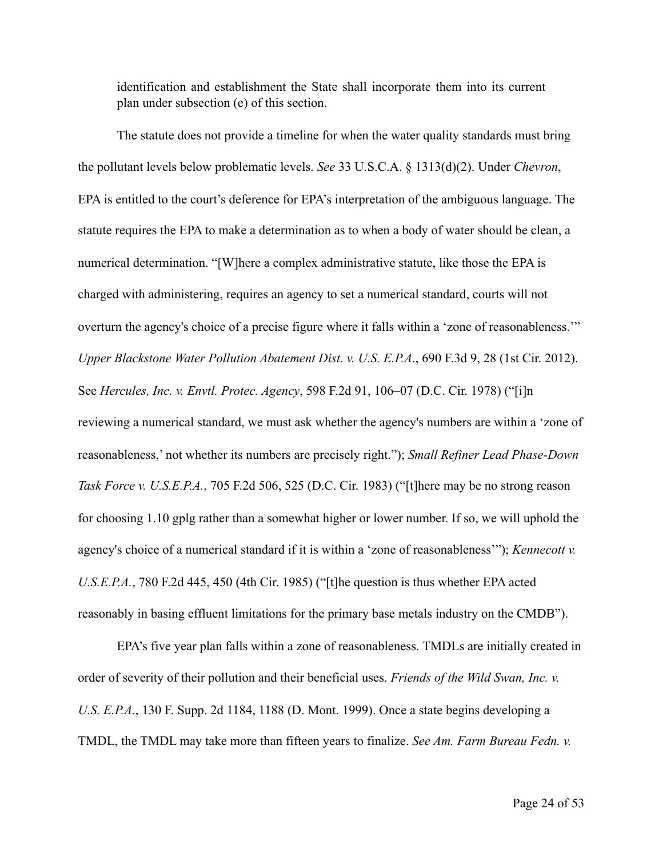identification and establishment the State shall incorporate them into its current plan under subsection (e) of this section.

 The statute does not provide a timeline for when the water quality standards must bring the pollutant levels below problematic levels. *See* 33 U.S.C.A. § 1313(d)(2). Under *Chevron*, EPA is entitled to the court's deference for EPA's interpretation of the ambiguous language. The statute requires the EPA to make a determination as to when a body of water should be clean, a numerical determination. "[W]here a complex administrative statute, like those the EPA is charged with administering, requires an agency to set a numerical standard, courts will not overturn the agency's choice of a precise figure where it falls within a 'zone of reasonableness.'" *Upper Blackstone Water Pollution Abatement Dist. v. U.S. E.P.A.*, 690 F.3d 9, 28 (1st Cir. 2012). See *Hercules, Inc. v. Envtl. Protec. Agency*, 598 F.2d 91, 106–07 (D.C. Cir. 1978) ("[i]n reviewing a numerical standard, we must ask whether the agency's numbers are within a 'zone of reasonableness,' not whether its numbers are precisely right."); *Small Refiner Lead Phase-Down Task Force v. U.S.E.P.A.*, 705 F.2d 506, 525 (D.C. Cir. 1983) ("[t]here may be no strong reason for choosing 1.10 gplg rather than a somewhat higher or lower number. If so, we will uphold the agency's choice of a numerical standard if it is within a 'zone of reasonableness'"); *Kennecott v. U.S.E.P.A.*, 780 F.2d 445, 450 (4th Cir. 1985) ("[t]he question is thus whether EPA acted reasonably in basing effluent limitations for the primary base metals industry on the CMDB").

 EPA's five year plan falls within a zone of reasonableness. TMDLs are initially created in order of severity of their pollution and their beneficial uses. *Friends of the Wild Swan, Inc. v. U.S. E.P.A.*, 130 F. Supp. 2d 1184, 1188 (D. Mont. 1999). Once a state begins developing a TMDL, the TMDL may take more than fifteen years to finalize. *See Am. Farm Bureau Fedn. v.*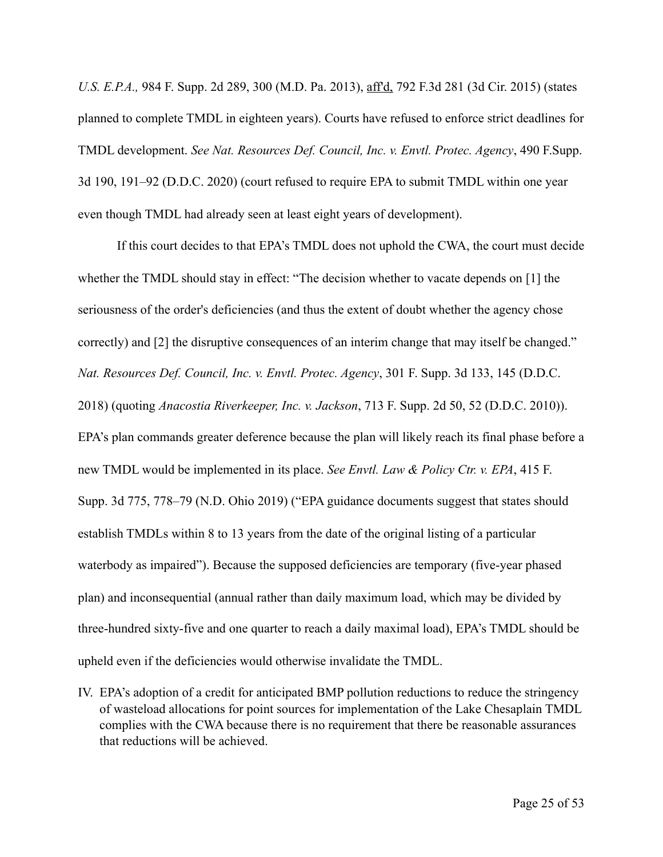*U.S. E.P.A.,* 984 F. Supp. 2d 289, 300 (M.D. Pa. 2013), aff'd, 792 F.3d 281 (3d Cir. 2015) (states planned to complete TMDL in eighteen years). Courts have refused to enforce strict deadlines for TMDL development. *See Nat. Resources Def. Council, Inc. v. Envtl. Protec. Agency*, 490 F.Supp. 3d 190, 191–92 (D.D.C. 2020) (court refused to require EPA to submit TMDL within one year even though TMDL had already seen at least eight years of development).

 If this court decides to that EPA's TMDL does not uphold the CWA, the court must decide whether the TMDL should stay in effect: "The decision whether to vacate depends on [1] the seriousness of the order's deficiencies (and thus the extent of doubt whether the agency chose correctly) and [2] the disruptive consequences of an interim change that may itself be changed." *Nat. Resources Def. Council, Inc. v. Envtl. Protec. Agency*, 301 F. Supp. 3d 133, 145 (D.D.C. 2018) (quoting *Anacostia Riverkeeper, Inc. v. Jackson*, 713 F. Supp. 2d 50, 52 (D.D.C. 2010)). EPA's plan commands greater deference because the plan will likely reach its final phase before a new TMDL would be implemented in its place. *See Envtl. Law & Policy Ctr. v. EPA*, 415 F. Supp. 3d 775, 778–79 (N.D. Ohio 2019) ("EPA guidance documents suggest that states should establish TMDLs within 8 to 13 years from the date of the original listing of a particular waterbody as impaired"). Because the supposed deficiencies are temporary (five-year phased plan) and inconsequential (annual rather than daily maximum load, which may be divided by three-hundred sixty-five and one quarter to reach a daily maximal load), EPA's TMDL should be upheld even if the deficiencies would otherwise invalidate the TMDL.

IV. EPA's adoption of a credit for anticipated BMP pollution reductions to reduce the stringency of wasteload allocations for point sources for implementation of the Lake Chesaplain TMDL complies with the CWA because there is no requirement that there be reasonable assurances that reductions will be achieved.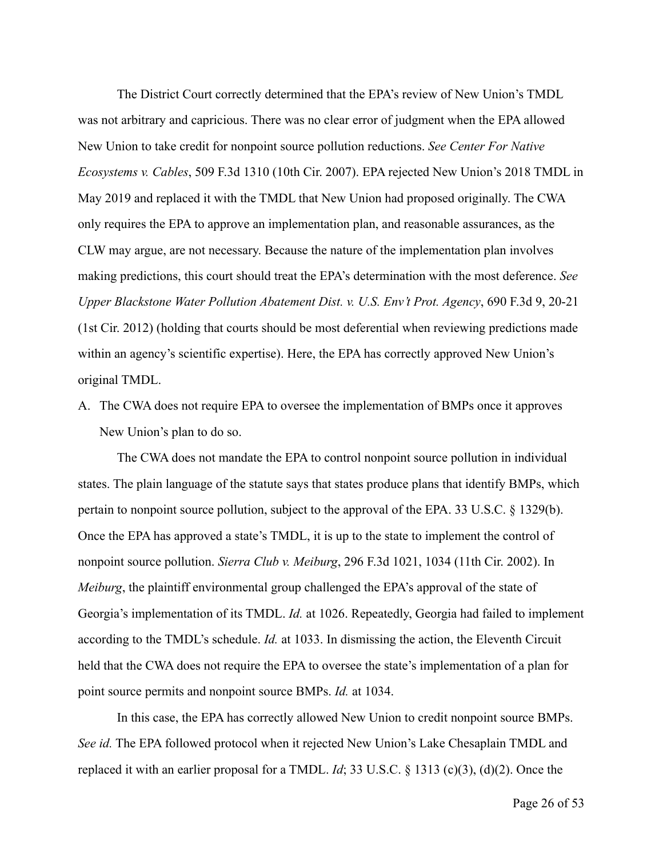The District Court correctly determined that the EPA's review of New Union's TMDL was not arbitrary and capricious. There was no clear error of judgment when the EPA allowed New Union to take credit for nonpoint source pollution reductions. *See Center For Native Ecosystems v. Cables*, 509 F.3d 1310 (10th Cir. 2007). EPA rejected New Union's 2018 TMDL in May 2019 and replaced it with the TMDL that New Union had proposed originally. The CWA only requires the EPA to approve an implementation plan, and reasonable assurances, as the CLW may argue, are not necessary. Because the nature of the implementation plan involves making predictions, this court should treat the EPA's determination with the most deference. *See Upper Blackstone Water Pollution Abatement Dist. v. U.S. Env't Prot. Agency*, 690 F.3d 9, 20-21 (1st Cir. 2012) (holding that courts should be most deferential when reviewing predictions made within an agency's scientific expertise). Here, the EPA has correctly approved New Union's original TMDL.

A. The CWA does not require EPA to oversee the implementation of BMPs once it approves New Union's plan to do so.

The CWA does not mandate the EPA to control nonpoint source pollution in individual states. The plain language of the statute says that states produce plans that identify BMPs, which pertain to nonpoint source pollution, subject to the approval of the EPA. 33 U.S.C. § 1329(b). Once the EPA has approved a state's TMDL, it is up to the state to implement the control of nonpoint source pollution. *Sierra Club v. Meiburg*, 296 F.3d 1021, 1034 (11th Cir. 2002). In *Meiburg*, the plaintiff environmental group challenged the EPA's approval of the state of Georgia's implementation of its TMDL. *Id.* at 1026. Repeatedly, Georgia had failed to implement according to the TMDL's schedule. *Id.* at 1033. In dismissing the action, the Eleventh Circuit held that the CWA does not require the EPA to oversee the state's implementation of a plan for point source permits and nonpoint source BMPs. *Id.* at 1034.

In this case, the EPA has correctly allowed New Union to credit nonpoint source BMPs. *See id.* The EPA followed protocol when it rejected New Union's Lake Chesaplain TMDL and replaced it with an earlier proposal for a TMDL. *Id*; 33 U.S.C. § 1313 (c)(3), (d)(2). Once the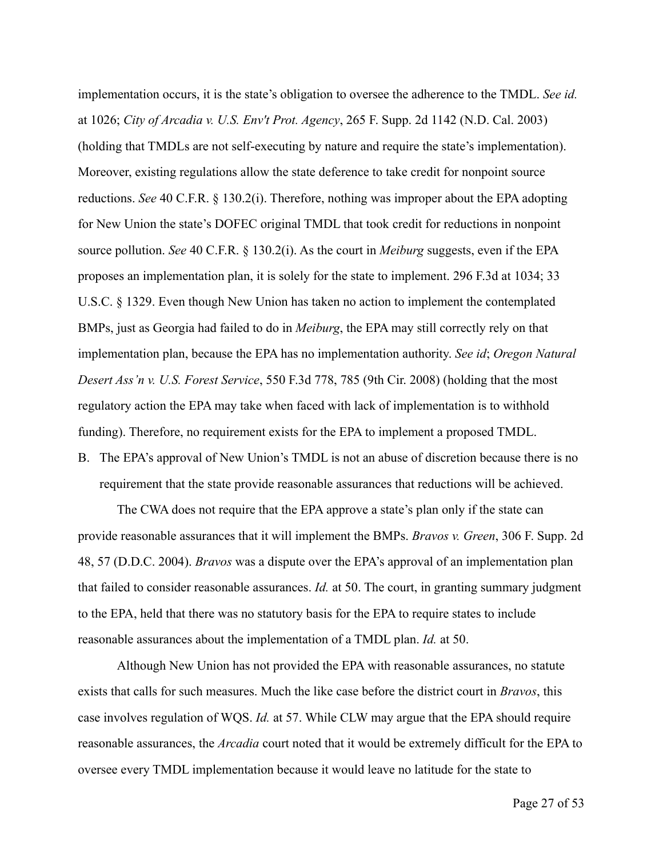implementation occurs, it is the state's obligation to oversee the adherence to the TMDL. *See id.* at 1026; *City of Arcadia v. U.S. Env't Prot. Agency*, 265 F. Supp. 2d 1142 (N.D. Cal. 2003) (holding that TMDLs are not self-executing by nature and require the state's implementation). Moreover, existing regulations allow the state deference to take credit for nonpoint source reductions. *See* 40 C.F.R. § 130.2(i). Therefore, nothing was improper about the EPA adopting for New Union the state's DOFEC original TMDL that took credit for reductions in nonpoint source pollution. *See* 40 C.F.R. § 130.2(i). As the court in *Meiburg* suggests, even if the EPA proposes an implementation plan, it is solely for the state to implement. 296 F.3d at 1034; 33 U.S.C. § 1329. Even though New Union has taken no action to implement the contemplated BMPs, just as Georgia had failed to do in *Meiburg*, the EPA may still correctly rely on that implementation plan, because the EPA has no implementation authority. *See id*; *Oregon Natural Desert Ass'n v. U.S. Forest Service*, 550 F.3d 778, 785 (9th Cir. 2008) (holding that the most regulatory action the EPA may take when faced with lack of implementation is to withhold funding). Therefore, no requirement exists for the EPA to implement a proposed TMDL. B. The EPA's approval of New Union's TMDL is not an abuse of discretion because there is no

requirement that the state provide reasonable assurances that reductions will be achieved.

The CWA does not require that the EPA approve a state's plan only if the state can provide reasonable assurances that it will implement the BMPs. *Bravos v. Green*, 306 F. Supp. 2d 48, 57 (D.D.C. 2004). *Bravos* was a dispute over the EPA's approval of an implementation plan that failed to consider reasonable assurances. *Id.* at 50. The court, in granting summary judgment to the EPA, held that there was no statutory basis for the EPA to require states to include reasonable assurances about the implementation of a TMDL plan. *Id.* at 50.

Although New Union has not provided the EPA with reasonable assurances, no statute exists that calls for such measures. Much the like case before the district court in *Bravos*, this case involves regulation of WQS. *Id.* at 57. While CLW may argue that the EPA should require reasonable assurances, the *Arcadia* court noted that it would be extremely difficult for the EPA to oversee every TMDL implementation because it would leave no latitude for the state to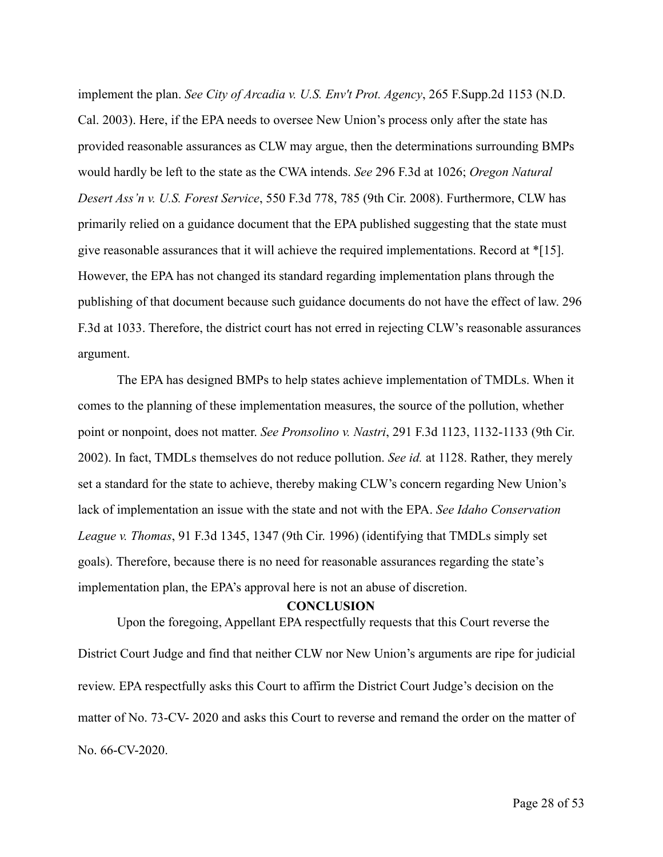implement the plan. *See City of Arcadia v. U.S. Env't Prot. Agency*, 265 F.Supp.2d 1153 (N.D. Cal. 2003). Here, if the EPA needs to oversee New Union's process only after the state has provided reasonable assurances as CLW may argue, then the determinations surrounding BMPs would hardly be left to the state as the CWA intends. *See* 296 F.3d at 1026; *Oregon Natural Desert Ass'n v. U.S. Forest Service*, 550 F.3d 778, 785 (9th Cir. 2008). Furthermore, CLW has primarily relied on a guidance document that the EPA published suggesting that the state must give reasonable assurances that it will achieve the required implementations. Record at \*[15]. However, the EPA has not changed its standard regarding implementation plans through the publishing of that document because such guidance documents do not have the effect of law. 296 F.3d at 1033. Therefore, the district court has not erred in rejecting CLW's reasonable assurances argument.

The EPA has designed BMPs to help states achieve implementation of TMDLs. When it comes to the planning of these implementation measures, the source of the pollution, whether point or nonpoint, does not matter. *See Pronsolino v. Nastri*, 291 F.3d 1123, 1132-1133 (9th Cir. 2002). In fact, TMDLs themselves do not reduce pollution. *See id.* at 1128. Rather, they merely set a standard for the state to achieve, thereby making CLW's concern regarding New Union's lack of implementation an issue with the state and not with the EPA. *See Idaho Conservation League v. Thomas*, 91 F.3d 1345, 1347 (9th Cir. 1996) (identifying that TMDLs simply set goals). Therefore, because there is no need for reasonable assurances regarding the state's implementation plan, the EPA's approval here is not an abuse of discretion.

#### **CONCLUSION**

 Upon the foregoing, Appellant EPA respectfully requests that this Court reverse the District Court Judge and find that neither CLW nor New Union's arguments are ripe for judicial review. EPA respectfully asks this Court to affirm the District Court Judge's decision on the matter of No. 73-CV- 2020 and asks this Court to reverse and remand the order on the matter of No. 66-CV-2020.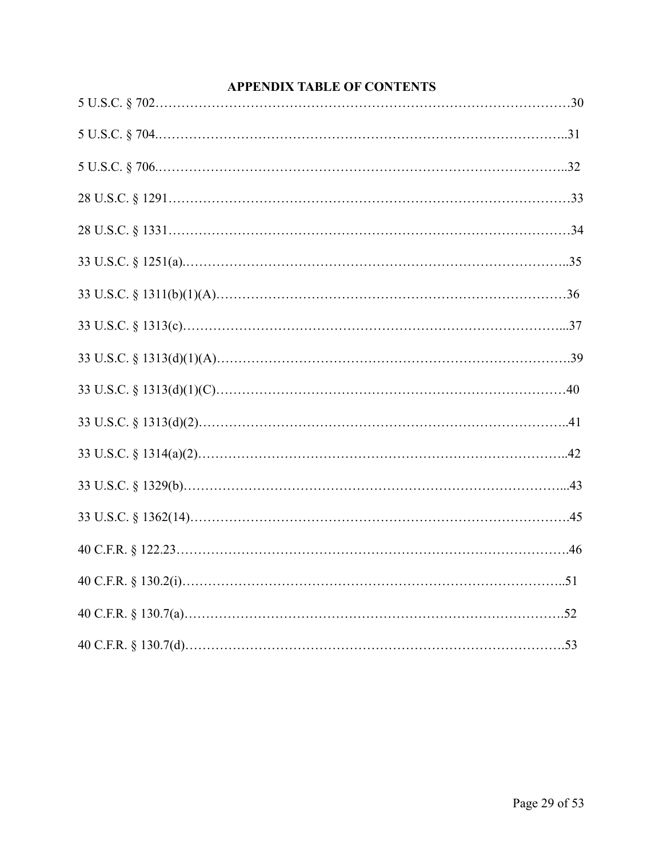| <b>APPENDIX TABLE OF CONTENTS</b> |  |
|-----------------------------------|--|
|                                   |  |
|                                   |  |
|                                   |  |
|                                   |  |
|                                   |  |
|                                   |  |
|                                   |  |
|                                   |  |
|                                   |  |
|                                   |  |
|                                   |  |
|                                   |  |
|                                   |  |
|                                   |  |
|                                   |  |
|                                   |  |
|                                   |  |
|                                   |  |

# Page 29 of 53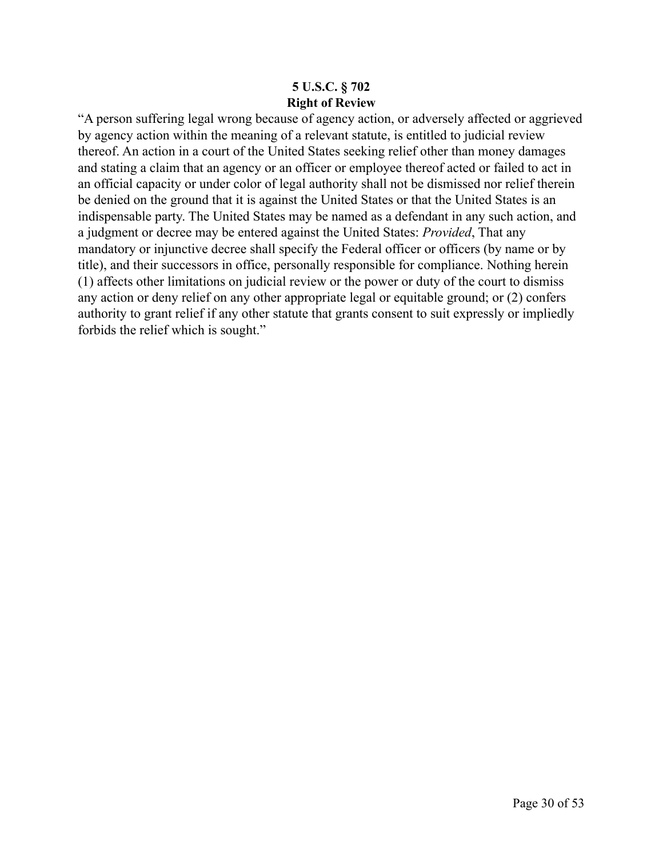## **5 U.S.C. § 702 Right of Review**

"A person suffering legal wrong because of agency action, or adversely affected or aggrieved by agency action within the meaning of a relevant statute, is entitled to judicial review thereof. An action in a court of the United States seeking relief other than money damages and stating a claim that an agency or an officer or employee thereof acted or failed to act in an official capacity or under color of legal authority shall not be dismissed nor relief therein be denied on the ground that it is against the United States or that the United States is an indispensable party. The United States may be named as a defendant in any such action, and a judgment or decree may be entered against the United States: *Provided*, That any mandatory or injunctive decree shall specify the Federal officer or officers (by name or by title), and their successors in office, personally responsible for compliance. Nothing herein (1) affects other limitations on judicial review or the power or duty of the court to dismiss any action or deny relief on any other appropriate legal or equitable ground; or (2) confers authority to grant relief if any other statute that grants consent to suit expressly or impliedly forbids the relief which is sought."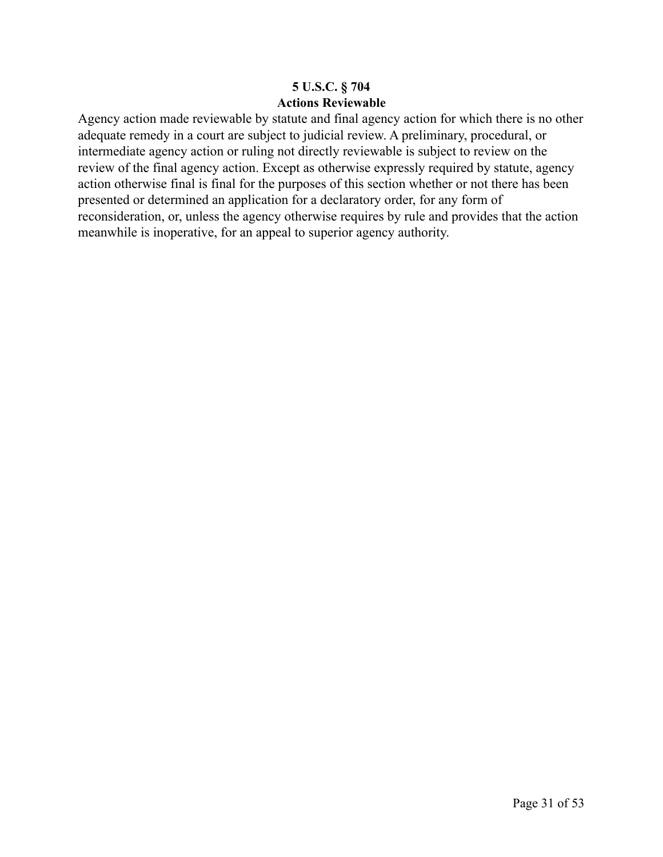## **5 U.S.C. § 704 Actions Reviewable**

Agency action made reviewable by statute and final agency action for which there is no other adequate remedy in a court are subject to judicial review. A preliminary, procedural, or intermediate agency action or ruling not directly reviewable is subject to review on the review of the final agency action. Except as otherwise expressly required by statute, agency action otherwise final is final for the purposes of this section whether or not there has been presented or determined an application for a declaratory order, for any form of reconsideration, or, unless the agency otherwise requires by rule and provides that the action meanwhile is inoperative, for an appeal to superior agency authority.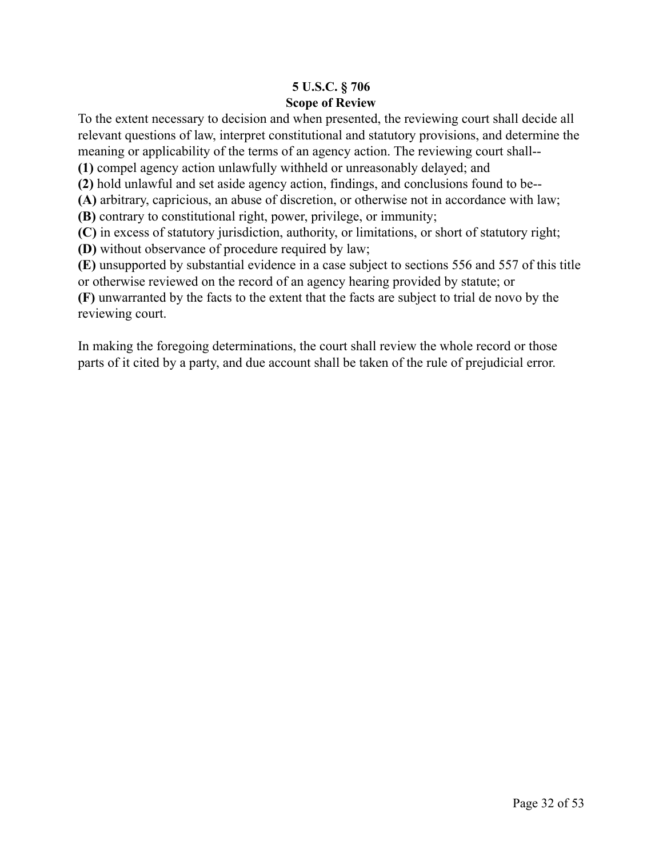## **5 U.S.C. § 706 Scope of Review**

To the extent necessary to decision and when presented, the reviewing court shall decide all relevant questions of law, interpret constitutional and statutory provisions, and determine the meaning or applicability of the terms of an agency action. The reviewing court shall--

**(1)** compel agency action unlawfully withheld or unreasonably delayed; and

**(2)** hold unlawful and set aside agency action, findings, and conclusions found to be--

**(A)** arbitrary, capricious, an abuse of discretion, or otherwise not in accordance with law;

**(B)** contrary to constitutional right, power, privilege, or immunity;

**(C)** in excess of statutory jurisdiction, authority, or limitations, or short of statutory right;

**(D)** without observance of procedure required by law;

**(E)** unsupported by substantial evidence in a case subject to [sections 556](https://1.next.westlaw.com/Link/Document/FullText?findType=L&pubNum=1000546&cite=5USCAS556&originatingDoc=NB66076C0A84311D885E288E02FD16EE7&refType=LQ&originationContext=document&transitionType=DocumentItem&ppcid=655c51a11cb342b0a1de071fad30a616&contextData=(sc.Document)) and [557](https://1.next.westlaw.com/Link/Document/FullText?findType=L&pubNum=1000546&cite=5USCAS557&originatingDoc=NB66076C0A84311D885E288E02FD16EE7&refType=LQ&originationContext=document&transitionType=DocumentItem&ppcid=655c51a11cb342b0a1de071fad30a616&contextData=(sc.Document)) of this title or otherwise reviewed on the record of an agency hearing provided by statute; or

**(F)** unwarranted by the facts to the extent that the facts are subject to trial de novo by the reviewing court.

In making the foregoing determinations, the court shall review the whole record or those parts of it cited by a party, and due account shall be taken of the rule of prejudicial error.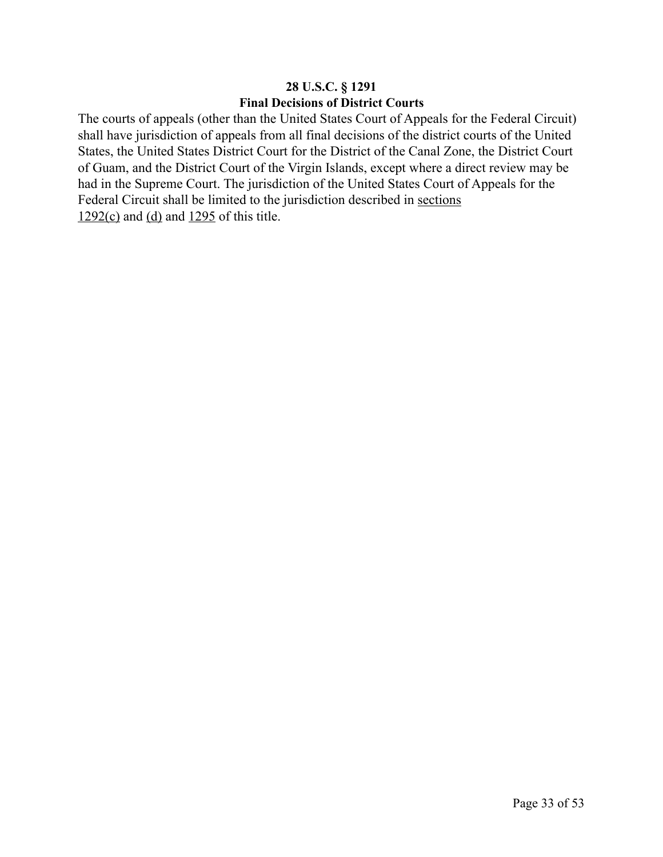## **28 U.S.C. § 1291 Final Decisions of District Courts**

The courts of appeals (other than the United States Court of Appeals for the Federal Circuit) shall have jurisdiction of appeals from all final decisions of the district courts of the United States, the United States District Court for the District of the Canal Zone, the District Court of Guam, and the District Court of the Virgin Islands, except where a direct review may be had in the Supreme Court. The jurisdiction of the United States Court of Appeals for the Federal Circuit shall be limited to the jurisdiction described in [sections](https://1.next.westlaw.com/Link/Document/FullText?findType=L&pubNum=1000546&cite=28USCAS1292&originatingDoc=NCC2B5B80A35911D88B25BBE406C5D950&refType=RB&originationContext=document&transitionType=DocumentItem&ppcid=f0329f62d52a4e64834c2eca4840b905&contextData=(sc.UserEnteredCitation)#co_pp_4b24000003ba5)   $1292(c)$  and [\(d\)](https://1.next.westlaw.com/Link/Document/FullText?findType=L&pubNum=1000546&cite=28USCAS1292&originatingDoc=NCC2B5B80A35911D88B25BBE406C5D950&refType=RB&originationContext=document&transitionType=DocumentItem&ppcid=f0329f62d52a4e64834c2eca4840b905&contextData=(sc.UserEnteredCitation)#co_pp_5ba1000067d06) and  $1295$  of this title.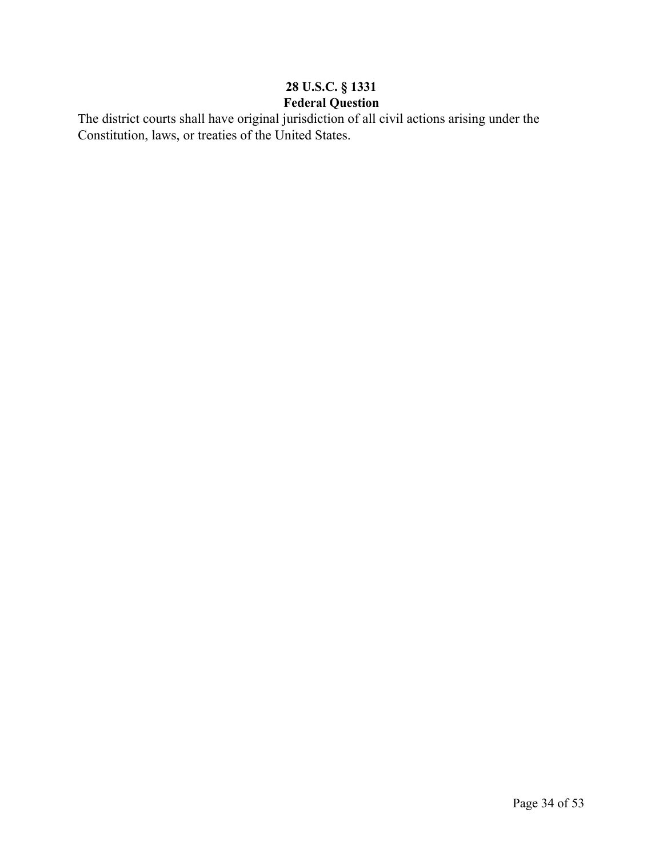# **28 U.S.C. § 1331 Federal Question**

The district courts shall have original jurisdiction of all civil actions arising under the Constitution, laws, or treaties of the United States.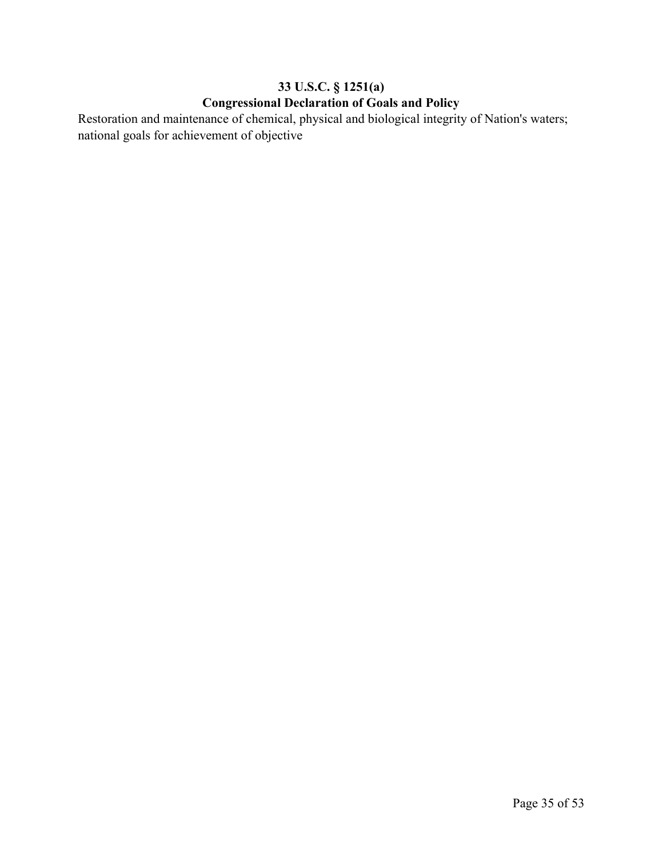# **33 U.S.C. § 1251(a) Congressional Declaration of Goals and Policy**

Restoration and maintenance of chemical, physical and biological integrity of Nation's waters; national goals for achievement of objective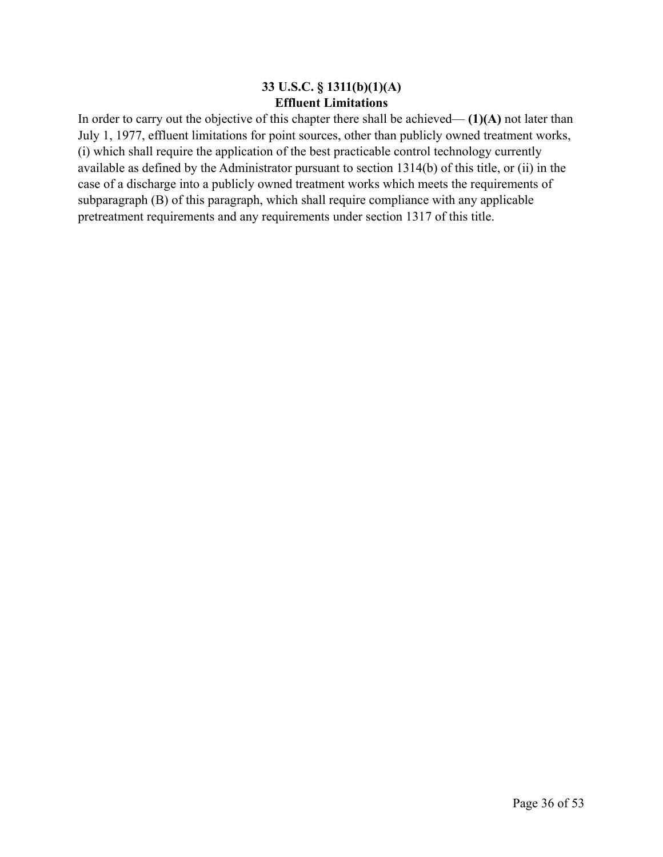### **33 U.S.C. § 1311(b)(1)(A) Effluent Limitations**

In order to carry out the objective of this chapter there shall be achieved— **(1)(A)** not later than July 1, 1977, effluent limitations for point sources, other than publicly owned treatment works, (i) which shall require the application of the best practicable control technology currently available as defined by the Administrator pursuant to section 1314(b) of this title, or (ii) in the case of a discharge into a publicly owned treatment works which meets the requirements of subparagraph (B) of this paragraph, which shall require compliance with any applicable pretreatment requirements and any requirements under section 1317 of this title.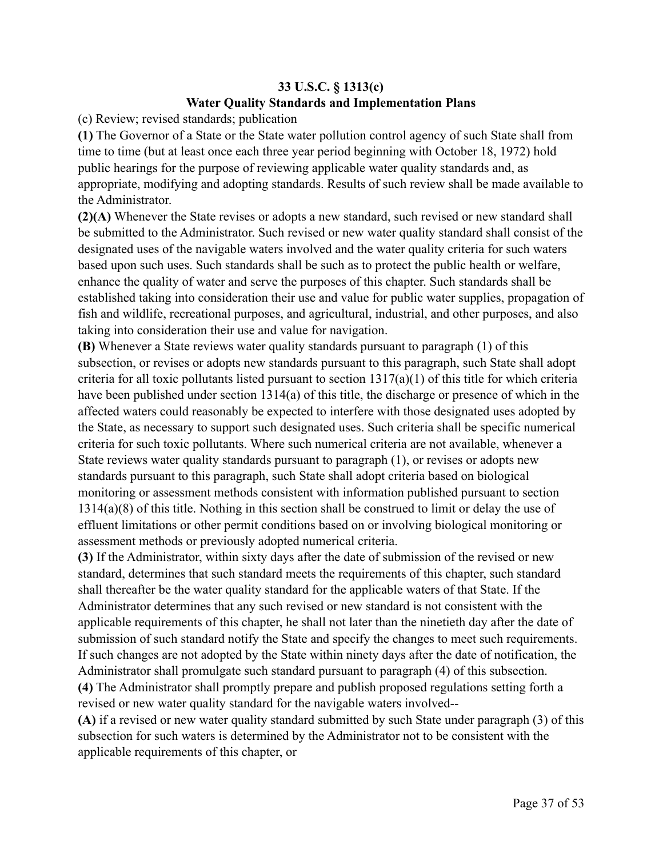# **33 U.S.C. § 1313(c) Water Quality Standards and Implementation Plans**

(c) Review; revised standards; publication

**(1)** The Governor of a State or the State water pollution control agency of such State shall from time to time (but at least once each three year period beginning with October 18, 1972) hold public hearings for the purpose of reviewing applicable water quality standards and, as appropriate, modifying and adopting standards. Results of such review shall be made available to the Administrator.

**(2)(A)** Whenever the State revises or adopts a new standard, such revised or new standard shall be submitted to the Administrator. Such revised or new water quality standard shall consist of the designated uses of the navigable waters involved and the water quality criteria for such waters based upon such uses. Such standards shall be such as to protect the public health or welfare, enhance the quality of water and serve the purposes of this chapter. Such standards shall be established taking into consideration their use and value for public water supplies, propagation of fish and wildlife, recreational purposes, and agricultural, industrial, and other purposes, and also taking into consideration their use and value for navigation.

**(B)** Whenever a State reviews water quality standards pursuant to paragraph (1) of this subsection, or revises or adopts new standards pursuant to this paragraph, such State shall adopt criteria for all toxic pollutants listed pursuant to section  $1317(a)(1)$  of this title for which criteria have been published under section 1314(a) of this title, the discharge or presence of which in the affected waters could reasonably be expected to interfere with those designated uses adopted by the State, as necessary to support such designated uses. Such criteria shall be specific numerical criteria for such toxic pollutants. Where such numerical criteria are not available, whenever a State reviews water quality standards pursuant to paragraph (1), or revises or adopts new standards pursuant to this paragraph, such State shall adopt criteria based on biological monitoring or assessment methods consistent with information published pursuant to section 1314(a)(8) of this title. Nothing in this section shall be construed to limit or delay the use of effluent limitations or other permit conditions based on or involving biological monitoring or assessment methods or previously adopted numerical criteria.

**(3)** If the Administrator, within sixty days after the date of submission of the revised or new standard, determines that such standard meets the requirements of this chapter, such standard shall thereafter be the water quality standard for the applicable waters of that State. If the Administrator determines that any such revised or new standard is not consistent with the applicable requirements of this chapter, he shall not later than the ninetieth day after the date of submission of such standard notify the State and specify the changes to meet such requirements. If such changes are not adopted by the State within ninety days after the date of notification, the Administrator shall promulgate such standard pursuant to paragraph (4) of this subsection. **(4)** The Administrator shall promptly prepare and publish proposed regulations setting forth a

revised or new water quality standard for the navigable waters involved--

**(A)** if a revised or new water quality standard submitted by such State under paragraph (3) of this subsection for such waters is determined by the Administrator not to be consistent with the applicable requirements of this chapter, or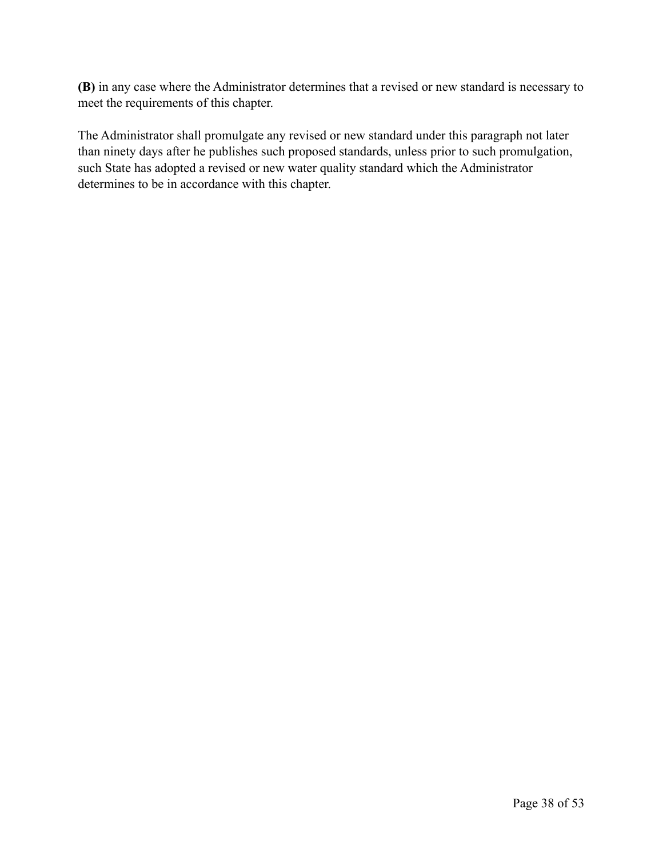**(B)** in any case where the Administrator determines that a revised or new standard is necessary to meet the requirements of this chapter.

The Administrator shall promulgate any revised or new standard under this paragraph not later than ninety days after he publishes such proposed standards, unless prior to such promulgation, such State has adopted a revised or new water quality standard which the Administrator determines to be in accordance with this chapter.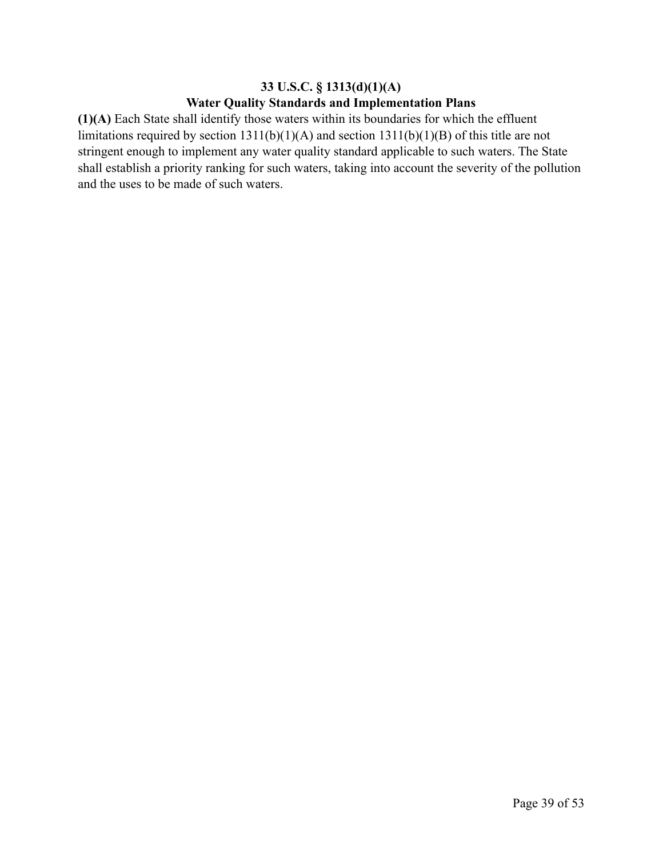## **33 U.S.C. § 1313(d)(1)(A) Water Quality Standards and Implementation Plans**

**(1)(A)** Each State shall identify those waters within its boundaries for which the effluent limitations required by section 1311(b)(1)(A) and section 1311(b)(1)(B) of this title are not stringent enough to implement any water quality standard applicable to such waters. The State shall establish a priority ranking for such waters, taking into account the severity of the pollution and the uses to be made of such waters.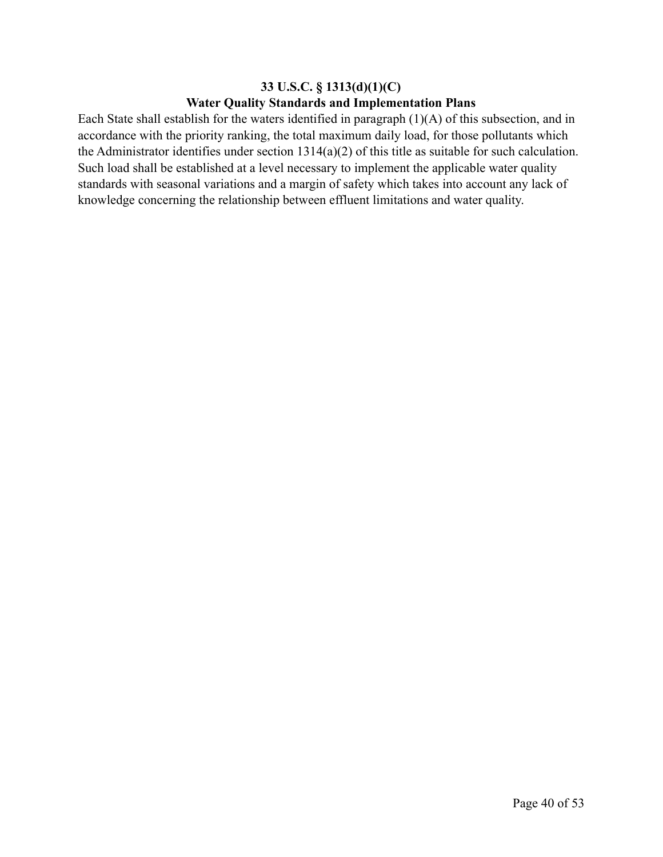## **33 U.S.C. § 1313(d)(1)(C) Water Quality Standards and Implementation Plans**

Each State shall establish for the waters identified in paragraph (1)(A) of this subsection, and in accordance with the priority ranking, the total maximum daily load, for those pollutants which the Administrator identifies under section 1314(a)(2) of this title as suitable for such calculation. Such load shall be established at a level necessary to implement the applicable water quality standards with seasonal variations and a margin of safety which takes into account any lack of knowledge concerning the relationship between effluent limitations and water quality.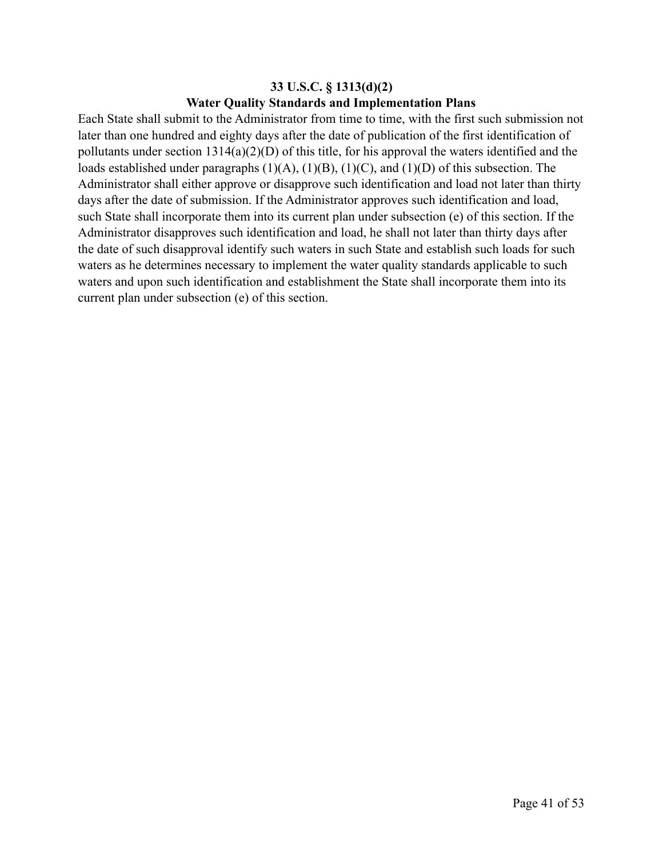## **33 U.S.C. § 1313(d)(2) Water Quality Standards and Implementation Plans**

Each State shall submit to the Administrator from time to time, with the first such submission not later than one hundred and eighty days after the date of publication of the first identification of pollutants under section 1314(a)(2)(D) of this title, for his approval the waters identified and the loads established under paragraphs (1)(A), (1)(B), (1)(C), and (1)(D) of this subsection. The Administrator shall either approve or disapprove such identification and load not later than thirty days after the date of submission. If the Administrator approves such identification and load, such State shall incorporate them into its current plan under subsection (e) of this section. If the Administrator disapproves such identification and load, he shall not later than thirty days after the date of such disapproval identify such waters in such State and establish such loads for such waters as he determines necessary to implement the water quality standards applicable to such waters and upon such identification and establishment the State shall incorporate them into its current plan under subsection (e) of this section.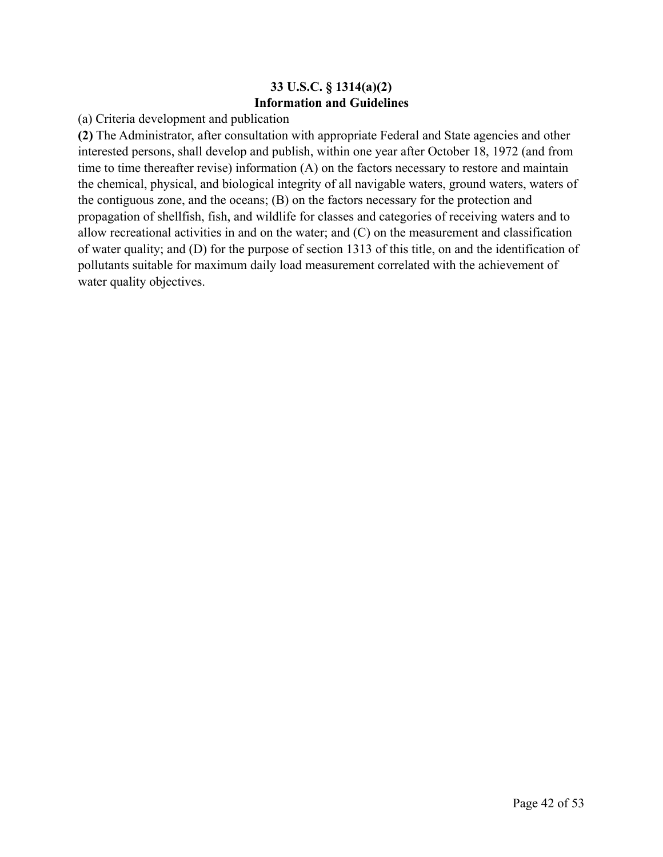## **33 U.S.C. § 1314(a)(2) Information and Guidelines**

(a) Criteria development and publication

**(2)** The Administrator, after consultation with appropriate Federal and State agencies and other interested persons, shall develop and publish, within one year after October 18, 1972 (and from time to time thereafter revise) information (A) on the factors necessary to restore and maintain the chemical, physical, and biological integrity of all navigable waters, ground waters, waters of the contiguous zone, and the oceans; (B) on the factors necessary for the protection and propagation of shellfish, fish, and wildlife for classes and categories of receiving waters and to allow recreational activities in and on the water; and (C) on the measurement and classification of water quality; and (D) for the purpose of section 1313 of this title, on and the identification of pollutants suitable for maximum daily load measurement correlated with the achievement of water quality objectives.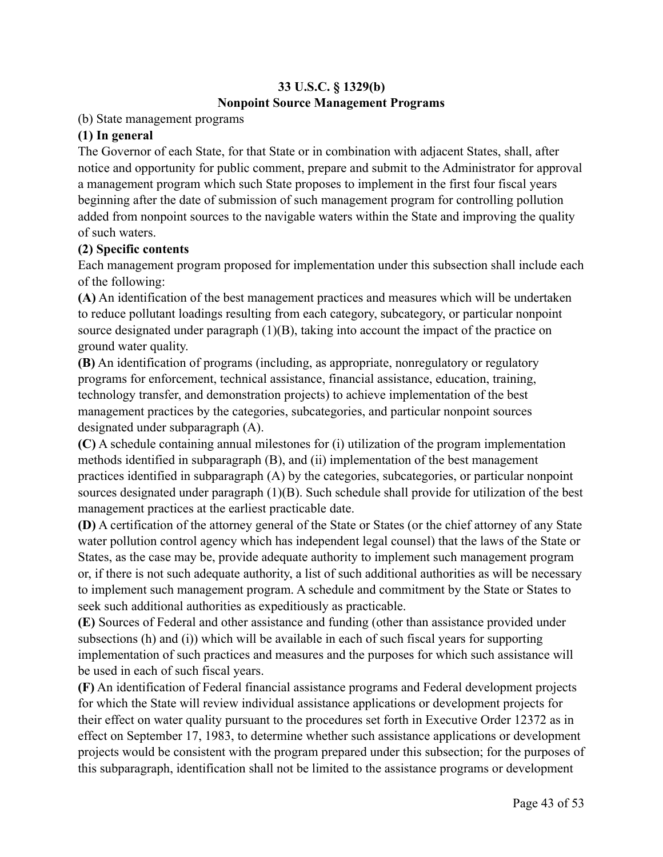# **33 U.S.C. § 1329(b) Nonpoint Source Management Programs**

### (b) State management programs

### **(1) In general**

The Governor of each State, for that State or in combination with adjacent States, shall, after notice and opportunity for public comment, prepare and submit to the Administrator for approval a management program which such State proposes to implement in the first four fiscal years beginning after the date of submission of such management program for controlling pollution added from nonpoint sources to the navigable waters within the State and improving the quality of such waters.

### **(2) Specific contents**

Each management program proposed for implementation under this subsection shall include each of the following:

**(A)** An identification of the best management practices and measures which will be undertaken to reduce pollutant loadings resulting from each category, subcategory, or particular nonpoint source designated under paragraph (1)(B), taking into account the impact of the practice on ground water quality.

**(B)** An identification of programs (including, as appropriate, nonregulatory or regulatory programs for enforcement, technical assistance, financial assistance, education, training, technology transfer, and demonstration projects) to achieve implementation of the best management practices by the categories, subcategories, and particular nonpoint sources designated under subparagraph (A).

**(C)** A schedule containing annual milestones for (i) utilization of the program implementation methods identified in subparagraph (B), and (ii) implementation of the best management practices identified in subparagraph (A) by the categories, subcategories, or particular nonpoint sources designated under paragraph (1)(B). Such schedule shall provide for utilization of the best management practices at the earliest practicable date.

**(D)** A certification of the attorney general of the State or States (or the chief attorney of any State water pollution control agency which has independent legal counsel) that the laws of the State or States, as the case may be, provide adequate authority to implement such management program or, if there is not such adequate authority, a list of such additional authorities as will be necessary to implement such management program. A schedule and commitment by the State or States to seek such additional authorities as expeditiously as practicable.

**(E)** Sources of Federal and other assistance and funding (other than assistance provided under subsections (h) and (i)) which will be available in each of such fiscal years for supporting implementation of such practices and measures and the purposes for which such assistance will be used in each of such fiscal years.

**(F)** An identification of Federal financial assistance programs and Federal development projects for which the State will review individual assistance applications or development projects for their effect on water quality pursuant to the procedures set forth in Executive Order 12372 as in effect on September 17, 1983, to determine whether such assistance applications or development projects would be consistent with the program prepared under this subsection; for the purposes of this subparagraph, identification shall not be limited to the assistance programs or development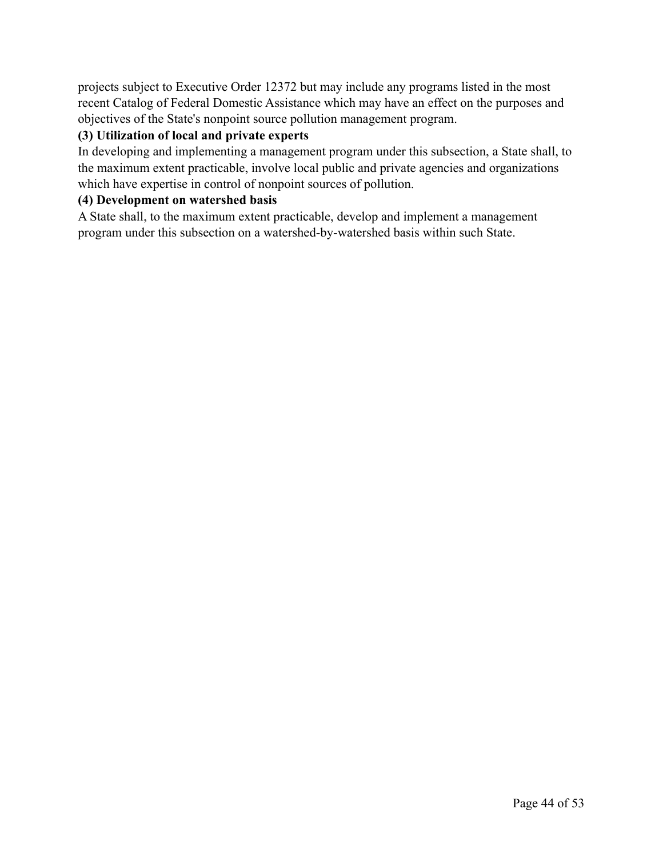projects subject to Executive Order 12372 but may include any programs listed in the most recent Catalog of Federal Domestic Assistance which may have an effect on the purposes and objectives of the State's nonpoint source pollution management program.

## **(3) Utilization of local and private experts**

In developing and implementing a management program under this subsection, a State shall, to the maximum extent practicable, involve local public and private agencies and organizations which have expertise in control of nonpoint sources of pollution.

## **(4) Development on watershed basis**

A State shall, to the maximum extent practicable, develop and implement a management program under this subsection on a watershed-by-watershed basis within such State.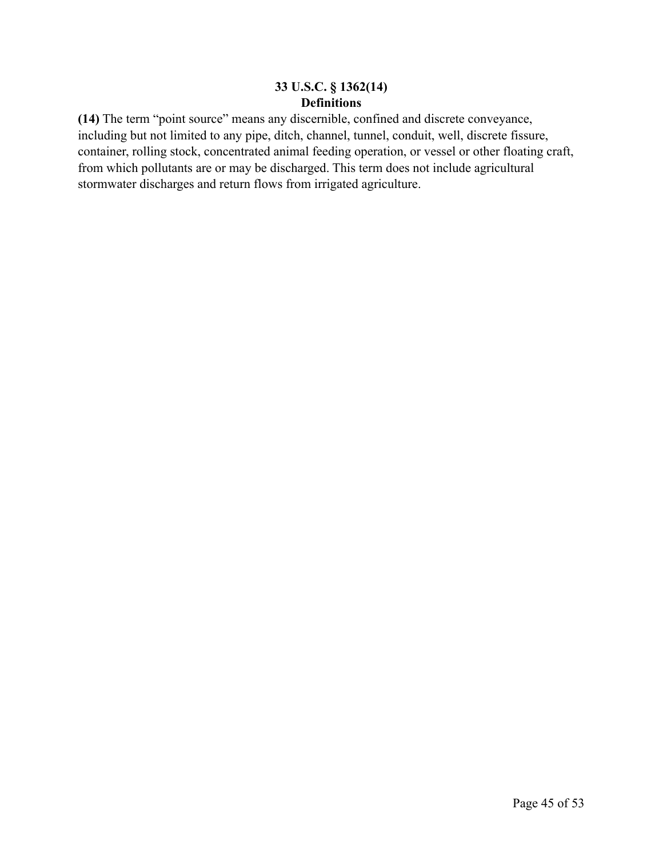## **33 U.S.C. § 1362(14) Definitions**

**(14)** The term "point source" means any discernible, confined and discrete conveyance, including but not limited to any pipe, ditch, channel, tunnel, conduit, well, discrete fissure, container, rolling stock, concentrated animal feeding operation, or vessel or other floating craft, from which pollutants are or may be discharged. This term does not include agricultural stormwater discharges and return flows from irrigated agriculture.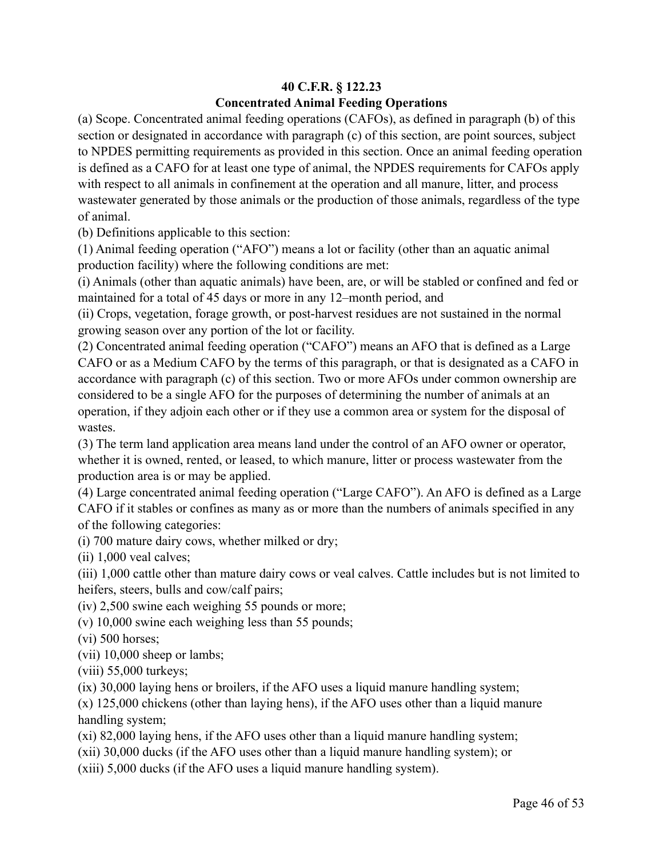## **40 C.F.R. § 122.23 Concentrated Animal Feeding Operations**

(a) Scope. Concentrated animal feeding operations (CAFOs), as defined in paragraph (b) of this section or designated in accordance with paragraph (c) of this section, are point sources, subject to NPDES permitting requirements as provided in this section. Once an animal feeding operation is defined as a CAFO for at least one type of animal, the NPDES requirements for CAFOs apply with respect to all animals in confinement at the operation and all manure, litter, and process wastewater generated by those animals or the production of those animals, regardless of the type of animal.

(b) Definitions applicable to this section:

(1) Animal feeding operation ("AFO") means a lot or facility (other than an aquatic animal production facility) where the following conditions are met:

(i) Animals (other than aquatic animals) have been, are, or will be stabled or confined and fed or maintained for a total of 45 days or more in any 12–month period, and

(ii) Crops, vegetation, forage growth, or post-harvest residues are not sustained in the normal growing season over any portion of the lot or facility.

(2) Concentrated animal feeding operation ("CAFO") means an AFO that is defined as a Large CAFO or as a Medium CAFO by the terms of this paragraph, or that is designated as a CAFO in accordance with paragraph (c) of this section. Two or more AFOs under common ownership are considered to be a single AFO for the purposes of determining the number of animals at an operation, if they adjoin each other or if they use a common area or system for the disposal of wastes.

(3) The term land application area means land under the control of an AFO owner or operator, whether it is owned, rented, or leased, to which manure, litter or process wastewater from the production area is or may be applied.

(4) Large concentrated animal feeding operation ("Large CAFO"). An AFO is defined as a Large CAFO if it stables or confines as many as or more than the numbers of animals specified in any of the following categories:

(i) 700 mature dairy cows, whether milked or dry;

(ii) 1,000 veal calves;

(iii) 1,000 cattle other than mature dairy cows or veal calves. Cattle includes but is not limited to heifers, steers, bulls and cow/calf pairs;

(iv) 2,500 swine each weighing 55 pounds or more;

(v) 10,000 swine each weighing less than 55 pounds;

(vi) 500 horses;

(vii) 10,000 sheep or lambs;

(viii) 55,000 turkeys;

(ix) 30,000 laying hens or broilers, if the AFO uses a liquid manure handling system;

(x) 125,000 chickens (other than laying hens), if the AFO uses other than a liquid manure handling system;

(xi) 82,000 laying hens, if the AFO uses other than a liquid manure handling system;

(xii) 30,000 ducks (if the AFO uses other than a liquid manure handling system); or

(xiii) 5,000 ducks (if the AFO uses a liquid manure handling system).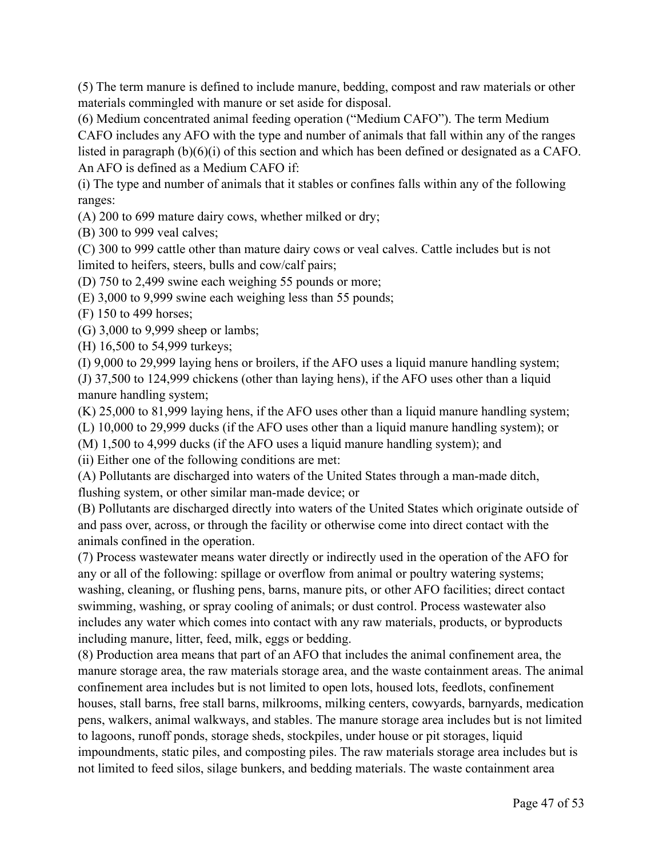(5) The term manure is defined to include manure, bedding, compost and raw materials or other materials commingled with manure or set aside for disposal.

(6) Medium concentrated animal feeding operation ("Medium CAFO"). The term Medium CAFO includes any AFO with the type and number of animals that fall within any of the ranges listed in paragraph (b)(6)(i) of this section and which has been defined or designated as a CAFO. An AFO is defined as a Medium CAFO if:

(i) The type and number of animals that it stables or confines falls within any of the following ranges:

(A) 200 to 699 mature dairy cows, whether milked or dry;

(B) 300 to 999 veal calves;

(C) 300 to 999 cattle other than mature dairy cows or veal calves. Cattle includes but is not limited to heifers, steers, bulls and cow/calf pairs;

(D) 750 to 2,499 swine each weighing 55 pounds or more;

(E) 3,000 to 9,999 swine each weighing less than 55 pounds;

(F) 150 to 499 horses;

(G) 3,000 to 9,999 sheep or lambs;

(H) 16,500 to 54,999 turkeys;

(I) 9,000 to 29,999 laying hens or broilers, if the AFO uses a liquid manure handling system; (J) 37,500 to 124,999 chickens (other than laying hens), if the AFO uses other than a liquid manure handling system;

(K) 25,000 to 81,999 laying hens, if the AFO uses other than a liquid manure handling system;

(L) 10,000 to 29,999 ducks (if the AFO uses other than a liquid manure handling system); or

(M) 1,500 to 4,999 ducks (if the AFO uses a liquid manure handling system); and

(ii) Either one of the following conditions are met:

(A) Pollutants are discharged into waters of the United States through a man-made ditch, flushing system, or other similar man-made device; or

(B) Pollutants are discharged directly into waters of the United States which originate outside of and pass over, across, or through the facility or otherwise come into direct contact with the animals confined in the operation.

(7) Process wastewater means water directly or indirectly used in the operation of the AFO for any or all of the following: spillage or overflow from animal or poultry watering systems; washing, cleaning, or flushing pens, barns, manure pits, or other AFO facilities; direct contact swimming, washing, or spray cooling of animals; or dust control. Process wastewater also includes any water which comes into contact with any raw materials, products, or byproducts including manure, litter, feed, milk, eggs or bedding.

(8) Production area means that part of an AFO that includes the animal confinement area, the manure storage area, the raw materials storage area, and the waste containment areas. The animal confinement area includes but is not limited to open lots, housed lots, feedlots, confinement houses, stall barns, free stall barns, milkrooms, milking centers, cowyards, barnyards, medication pens, walkers, animal walkways, and stables. The manure storage area includes but is not limited to lagoons, runoff ponds, storage sheds, stockpiles, under house or pit storages, liquid impoundments, static piles, and composting piles. The raw materials storage area includes but is not limited to feed silos, silage bunkers, and bedding materials. The waste containment area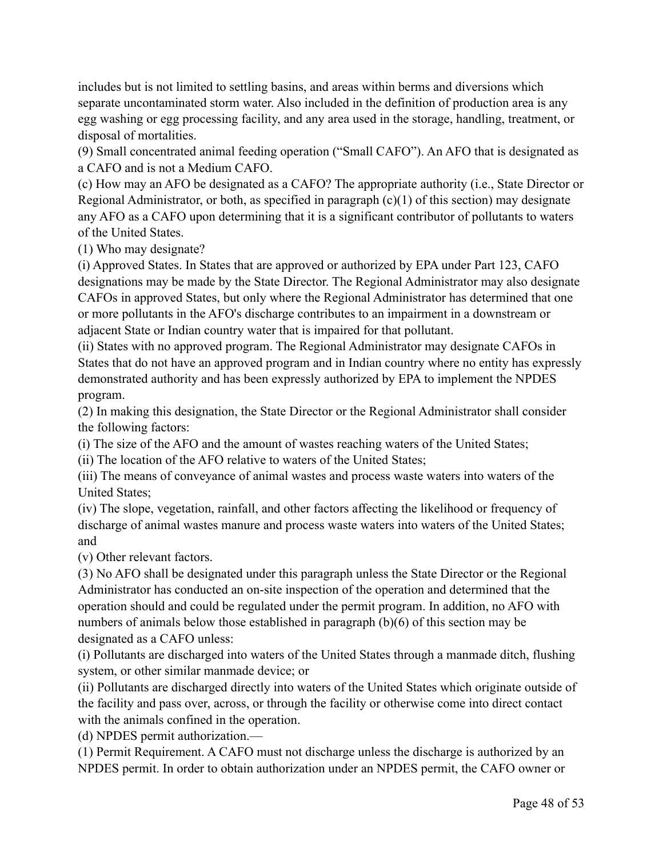includes but is not limited to settling basins, and areas within berms and diversions which separate uncontaminated storm water. Also included in the definition of production area is any egg washing or egg processing facility, and any area used in the storage, handling, treatment, or disposal of mortalities.

(9) Small concentrated animal feeding operation ("Small CAFO"). An AFO that is designated as a CAFO and is not a Medium CAFO.

(c) How may an AFO be designated as a CAFO? The appropriate authority (i.e., State Director or Regional Administrator, or both, as specified in paragraph  $(c)(1)$  of this section) may designate any AFO as a CAFO upon determining that it is a significant contributor of pollutants to waters of the United States.

(1) Who may designate?

(i) Approved States. In States that are approved or authorized by EPA under Part 123, CAFO designations may be made by the State Director. The Regional Administrator may also designate CAFOs in approved States, but only where the Regional Administrator has determined that one or more pollutants in the AFO's discharge contributes to an impairment in a downstream or adjacent State or Indian country water that is impaired for that pollutant.

(ii) States with no approved program. The Regional Administrator may designate CAFOs in States that do not have an approved program and in Indian country where no entity has expressly demonstrated authority and has been expressly authorized by EPA to implement the NPDES program.

(2) In making this designation, the State Director or the Regional Administrator shall consider the following factors:

(i) The size of the AFO and the amount of wastes reaching waters of the United States;

(ii) The location of the AFO relative to waters of the United States;

(iii) The means of conveyance of animal wastes and process waste waters into waters of the United States;

(iv) The slope, vegetation, rainfall, and other factors affecting the likelihood or frequency of discharge of animal wastes manure and process waste waters into waters of the United States; and

(v) Other relevant factors.

(3) No AFO shall be designated under this paragraph unless the State Director or the Regional Administrator has conducted an on-site inspection of the operation and determined that the operation should and could be regulated under the permit program. In addition, no AFO with numbers of animals below those established in paragraph (b)(6) of this section may be designated as a CAFO unless:

(i) Pollutants are discharged into waters of the United States through a manmade ditch, flushing system, or other similar manmade device; or

(ii) Pollutants are discharged directly into waters of the United States which originate outside of the facility and pass over, across, or through the facility or otherwise come into direct contact with the animals confined in the operation.

(d) NPDES permit authorization.—

(1) Permit Requirement. A CAFO must not discharge unless the discharge is authorized by an NPDES permit. In order to obtain authorization under an NPDES permit, the CAFO owner or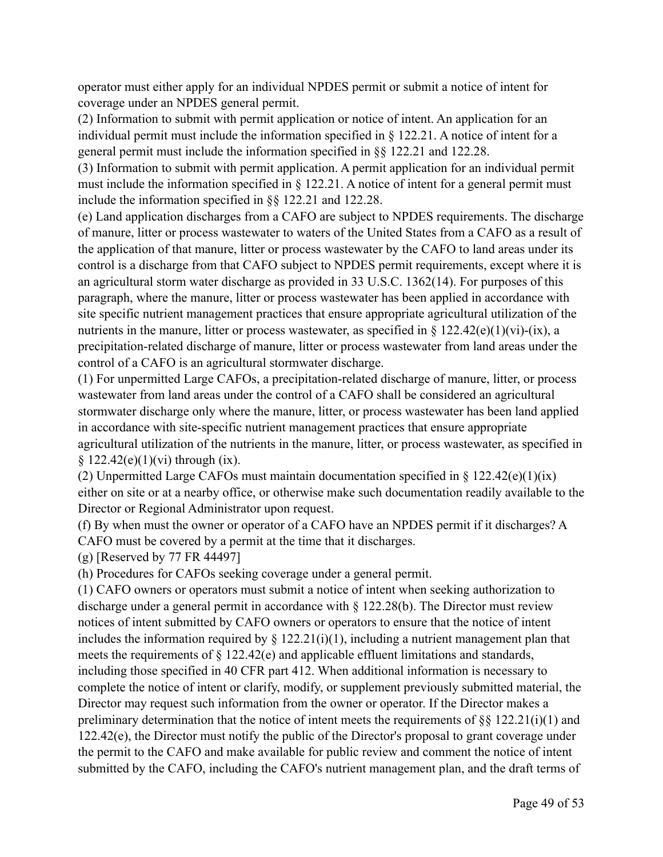operator must either apply for an individual NPDES permit or submit a notice of intent for coverage under an NPDES general permit.

(2) Information to submit with permit application or notice of intent. An application for an individual permit must include the information specified in § 122.21. A notice of intent for a general permit must include the information specified in §§ 122.21 and 122.28.

(3) Information to submit with permit application. A permit application for an individual permit must include the information specified in § 122.21. A notice of intent for a general permit must include the information specified in §§ 122.21 and 122.28.

(e) Land application discharges from a CAFO are subject to NPDES requirements. The discharge of manure, litter or process wastewater to waters of the United States from a CAFO as a result of the application of that manure, litter or process wastewater by the CAFO to land areas under its control is a discharge from that CAFO subject to NPDES permit requirements, except where it is an agricultural storm water discharge as provided in 33 U.S.C. 1362(14). For purposes of this paragraph, where the manure, litter or process wastewater has been applied in accordance with site specific nutrient management practices that ensure appropriate agricultural utilization of the nutrients in the manure, litter or process wastewater, as specified in  $\S 122.42(e)(1)(vi)-(ix)$ , a precipitation-related discharge of manure, litter or process wastewater from land areas under the control of a CAFO is an agricultural stormwater discharge.

(1) For unpermitted Large CAFOs, a precipitation-related discharge of manure, litter, or process wastewater from land areas under the control of a CAFO shall be considered an agricultural stormwater discharge only where the manure, litter, or process wastewater has been land applied in accordance with site-specific nutrient management practices that ensure appropriate agricultural utilization of the nutrients in the manure, litter, or process wastewater, as specified in  $§ 122.42(e)(1)(vi)$  through (ix).

(2) Unpermitted Large CAFOs must maintain documentation specified in  $\S$  122.42(e)(1)(ix) either on site or at a nearby office, or otherwise make such documentation readily available to the Director or Regional Administrator upon request.

(f) By when must the owner or operator of a CAFO have an NPDES permit if it discharges? A CAFO must be covered by a permit at the time that it discharges.

(g) [Reserved by 77 FR 44497]

(h) Procedures for CAFOs seeking coverage under a general permit.

(1) CAFO owners or operators must submit a notice of intent when seeking authorization to discharge under a general permit in accordance with § 122.28(b). The Director must review notices of intent submitted by CAFO owners or operators to ensure that the notice of intent includes the information required by  $\S$  122.21(i)(1), including a nutrient management plan that meets the requirements of § 122.42(e) and applicable effluent limitations and standards, including those specified in 40 CFR part 412. When additional information is necessary to complete the notice of intent or clarify, modify, or supplement previously submitted material, the Director may request such information from the owner or operator. If the Director makes a preliminary determination that the notice of intent meets the requirements of  $\S$ § 122.21(i)(1) and 122.42(e), the Director must notify the public of the Director's proposal to grant coverage under the permit to the CAFO and make available for public review and comment the notice of intent submitted by the CAFO, including the CAFO's nutrient management plan, and the draft terms of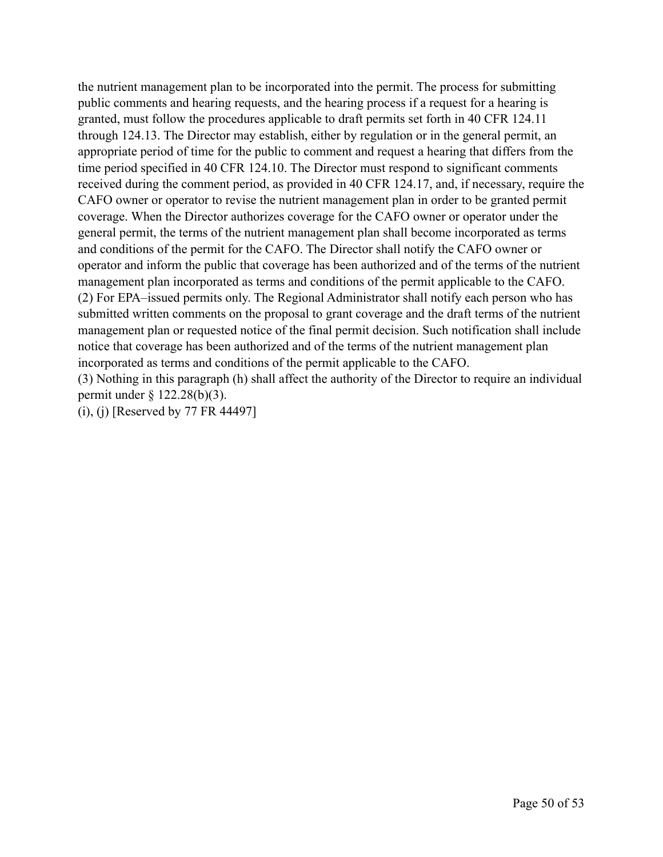the nutrient management plan to be incorporated into the permit. The process for submitting public comments and hearing requests, and the hearing process if a request for a hearing is granted, must follow the procedures applicable to draft permits set forth in 40 CFR 124.11 through 124.13. The Director may establish, either by regulation or in the general permit, an appropriate period of time for the public to comment and request a hearing that differs from the time period specified in 40 CFR 124.10. The Director must respond to significant comments received during the comment period, as provided in 40 CFR 124.17, and, if necessary, require the CAFO owner or operator to revise the nutrient management plan in order to be granted permit coverage. When the Director authorizes coverage for the CAFO owner or operator under the general permit, the terms of the nutrient management plan shall become incorporated as terms and conditions of the permit for the CAFO. The Director shall notify the CAFO owner or operator and inform the public that coverage has been authorized and of the terms of the nutrient management plan incorporated as terms and conditions of the permit applicable to the CAFO. (2) For EPA–issued permits only. The Regional Administrator shall notify each person who has submitted written comments on the proposal to grant coverage and the draft terms of the nutrient management plan or requested notice of the final permit decision. Such notification shall include notice that coverage has been authorized and of the terms of the nutrient management plan incorporated as terms and conditions of the permit applicable to the CAFO.

(3) Nothing in this paragraph (h) shall affect the authority of the Director to require an individual permit under § 122.28(b)(3).

(i), (j) [Reserved by 77 FR 44497]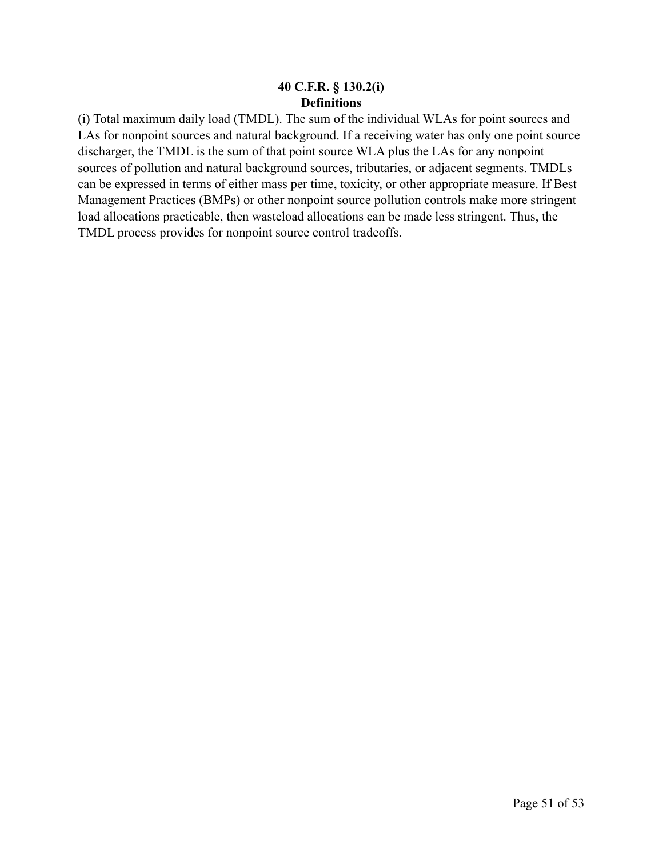### **40 C.F.R. § 130.2(i) Definitions**

(i) Total maximum daily load (TMDL). The sum of the individual WLAs for point sources and LAs for nonpoint sources and natural background. If a receiving water has only one point source discharger, the TMDL is the sum of that point source WLA plus the LAs for any nonpoint sources of pollution and natural background sources, tributaries, or adjacent segments. TMDLs can be expressed in terms of either mass per time, toxicity, or other appropriate measure. If Best Management Practices (BMPs) or other nonpoint source pollution controls make more stringent load allocations practicable, then wasteload allocations can be made less stringent. Thus, the TMDL process provides for nonpoint source control tradeoffs.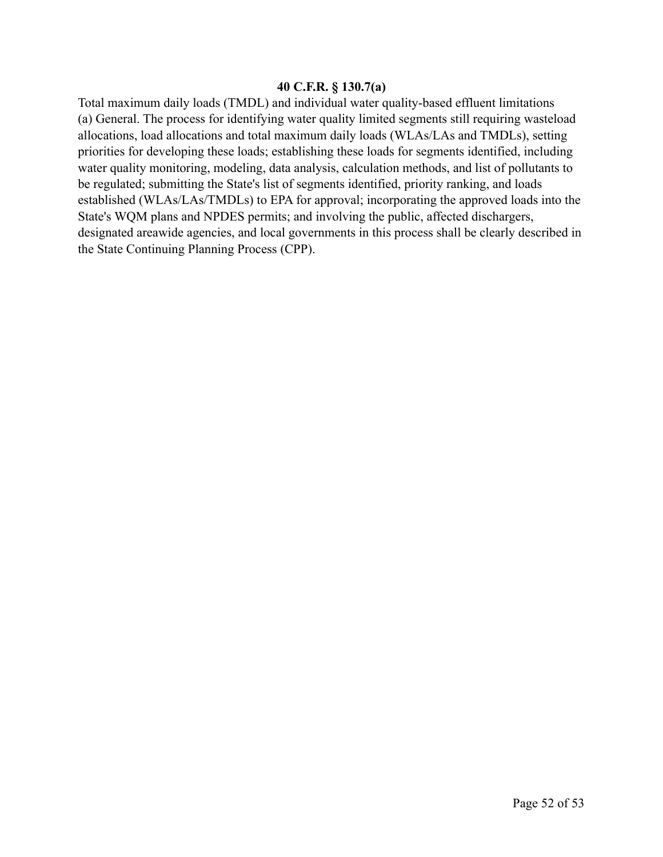### **40 C.F.R. § 130.7(a)**

Total maximum daily loads (TMDL) and individual water quality-based effluent limitations (a) General. The process for identifying water quality limited segments still requiring wasteload allocations, load allocations and total maximum daily loads (WLAs/LAs and TMDLs), setting priorities for developing these loads; establishing these loads for segments identified, including water quality monitoring, modeling, data analysis, calculation methods, and list of pollutants to be regulated; submitting the State's list of segments identified, priority ranking, and loads established (WLAs/LAs/TMDLs) to EPA for approval; incorporating the approved loads into the State's WQM plans and NPDES permits; and involving the public, affected dischargers, designated areawide agencies, and local governments in this process shall be clearly described in the State Continuing Planning Process (CPP).